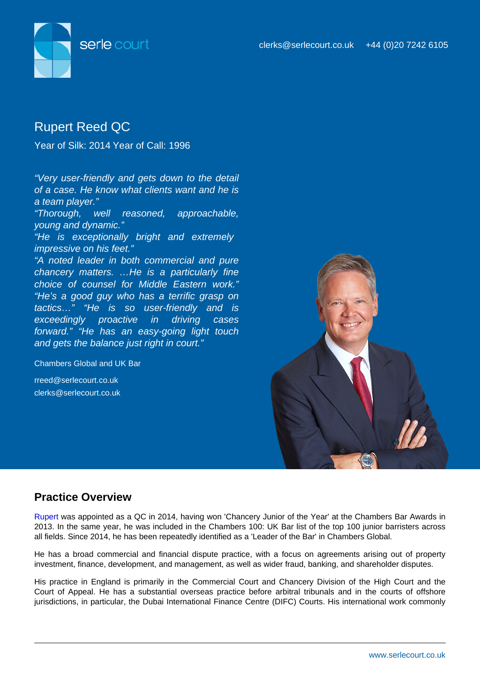## Rupert Reed QC

Year of Silk: 2014 Year of Call: 1996

"Very user-friendly and gets down to the detail of a case. He know what clients want and he is a team player."

"Thorough, well reasoned, approachable, young and dynamic."

"He is exceptionally bright and extremely impressive on his feet."

"A noted leader in both commercial and pure chancery matters. …He is a particularly fine choice of counsel for Middle Eastern work." "He's a good guy who has a terrific grasp on tactics…" "He is so user-friendly and is exceedingly proactive in driving cases forward." "He has an easy-going light touch and gets the balance just right in court."

Chambers Global and UK Bar

rreed@serlecourt.co.uk clerks@serlecourt.co.uk

## Practice Overview

[Rupert](�� h t t p s : / / w w w . s e r l e c o u r t . c o . u k / o u r - p e o p l e / p r o f i l e / r u p e r t - r e e d - q c) was appointed as a QC in 2014, having won 'Chancery Junior of the Year' at the Chambers Bar Awards in 2013. In the same year, he was included in the Chambers 100: UK Bar list of the top 100 junior barristers across all fields. Since 2014, he has been repeatedly identified as a 'Leader of the Bar' in Chambers Global.

He has a broad commercial and financial dispute practice, with a focus on agreements arising out of property investment, finance, development, and management, as well as wider fraud, banking, and shareholder disputes.

His practice in England is primarily in the Commercial Court and Chancery Division of the High Court and the Court of Appeal. He has a substantial overseas practice before arbitral tribunals and in the courts of offshore jurisdictions, in particular, the Dubai International Finance Centre (DIFC) Courts. His international work commonly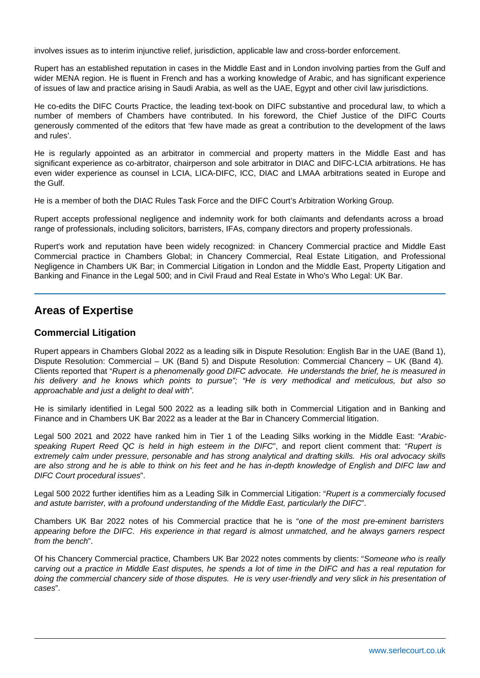involves issues as to interim injunctive relief, jurisdiction, applicable law and cross-border enforcement.

Rupert has an established reputation in cases in the Middle East and in London involving parties from the Gulf and wider MENA region. He is fluent in French and has a working knowledge of Arabic, and has significant experience of issues of law and practice arising in Saudi Arabia, as well as the UAE, Egypt and other civil law jurisdictions.

He co-edits the DIFC Courts Practice, the leading text-book on DIFC substantive and procedural law, to which a number of members of Chambers have contributed. In his foreword, the Chief Justice of the DIFC Courts generously commented of the editors that 'few have made as great a contribution to the development of the laws and rules'.

He is regularly appointed as an arbitrator in commercial and property matters in the Middle East and has significant experience as co-arbitrator, chairperson and sole arbitrator in DIAC and DIFC-LCIA arbitrations. He has even wider experience as counsel in LCIA, LICA-DIFC, ICC, DIAC and LMAA arbitrations seated in Europe and the Gulf.

He is a member of both the DIAC Rules Task Force and the DIFC Court's Arbitration Working Group.

Rupert accepts professional negligence and indemnity work for both claimants and defendants across a broad range of professionals, including solicitors, barristers, IFAs, company directors and property professionals.

Rupert's work and reputation have been widely recognized: in Chancery Commercial practice and Middle East Commercial practice in Chambers Global; in Chancery Commercial, Real Estate Litigation, and Professional Negligence in Chambers UK Bar; in Commercial Litigation in London and the Middle East, Property Litigation and Banking and Finance in the Legal 500; and in Civil Fraud and Real Estate in Who's Who Legal: UK Bar.

## **Areas of Expertise**

#### **Commercial Litigation**

Rupert appears in Chambers Global 2022 as a leading silk in Dispute Resolution: English Bar in the UAE (Band 1), Dispute Resolution: Commercial – UK (Band 5) and Dispute Resolution: Commercial Chancery – UK (Band 4). Clients reported that "Rupert is a phenomenally good DIFC advocate. He understands the brief, he is measured in his delivery and he knows which points to pursue"; "He is very methodical and meticulous, but also so approachable and just a delight to deal with".

He is similarly identified in Legal 500 2022 as a leading silk both in Commercial Litigation and in Banking and Finance and in Chambers UK Bar 2022 as a leader at the Bar in Chancery Commercial litigation.

Legal 500 2021 and 2022 have ranked him in Tier 1 of the Leading Silks working in the Middle East: "Arabicspeaking Rupert Reed QC is held in high esteem in the DIFC", and report client comment that: "Rupert is extremely calm under pressure, personable and has strong analytical and drafting skills. His oral advocacy skills are also strong and he is able to think on his feet and he has in-depth knowledge of English and DIFC law and DIFC Court procedural issues".

Legal 500 2022 further identifies him as a Leading Silk in Commercial Litigation: "Rupert is a commercially focused and astute barrister, with a profound understanding of the Middle East, particularly the DIFC".

Chambers UK Bar 2022 notes of his Commercial practice that he is "one of the most pre-eminent barristers appearing before the DIFC. His experience in that regard is almost unmatched, and he always garners respect from the bench".

Of his Chancery Commercial practice, Chambers UK Bar 2022 notes comments by clients: "Someone who is really carving out a practice in Middle East disputes, he spends a lot of time in the DIFC and has a real reputation for doing the commercial chancery side of those disputes. He is very user-friendly and very slick in his presentation of cases".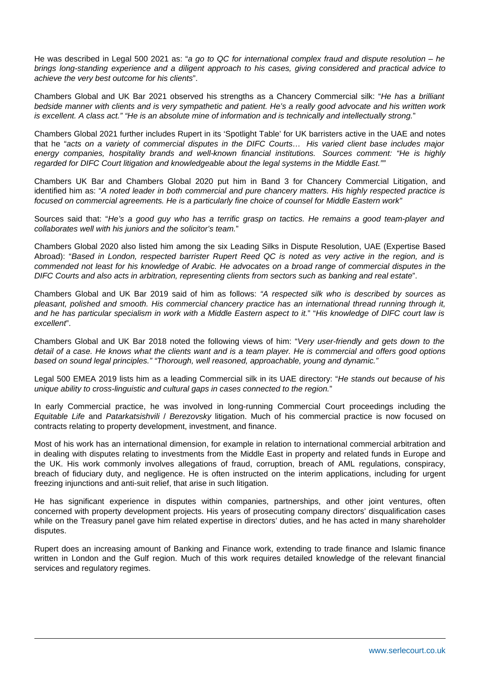He was described in Legal 500 2021 as: "a go to QC for international complex fraud and dispute resolution – he brings long-standing experience and a diligent approach to his cases, giving considered and practical advice to achieve the very best outcome for his clients".

Chambers Global and UK Bar 2021 observed his strengths as a Chancery Commercial silk: "He has a brilliant bedside manner with clients and is very sympathetic and patient. He's a really good advocate and his written work is excellent. A class act." "He is an absolute mine of information and is technically and intellectually strong."

Chambers Global 2021 further includes Rupert in its 'Spotlight Table' for UK barristers active in the UAE and notes that he "acts on a variety of commercial disputes in the DIFC Courts… His varied client base includes major energy companies, hospitality brands and well-known financial institutions. Sources comment: "He is highly regarded for DIFC Court litigation and knowledgeable about the legal systems in the Middle East.""

Chambers UK Bar and Chambers Global 2020 put him in Band 3 for Chancery Commercial Litigation, and identified him as: "A noted leader in both commercial and pure chancery matters. His highly respected practice is focused on commercial agreements. He is a particularly fine choice of counsel for Middle Eastern work"

Sources said that: "He's a good guy who has a terrific grasp on tactics. He remains a good team-player and collaborates well with his juniors and the solicitor's team."

Chambers Global 2020 also listed him among the six Leading Silks in Dispute Resolution, UAE (Expertise Based Abroad): "Based in London, respected barrister Rupert Reed QC is noted as very active in the region, and is commended not least for his knowledge of Arabic. He advocates on a broad range of commercial disputes in the DIFC Courts and also acts in arbitration, representing clients from sectors such as banking and real estate".

Chambers Global and UK Bar 2019 said of him as follows: "A respected silk who is described by sources as pleasant, polished and smooth. His commercial chancery practice has an international thread running through it, and he has particular specialism in work with a Middle Eastern aspect to it." "His knowledge of DIFC court law is excellent".

Chambers Global and UK Bar 2018 noted the following views of him: "Very user-friendly and gets down to the detail of a case. He knows what the clients want and is a team player. He is commercial and offers good options based on sound legal principles." "Thorough, well reasoned, approachable, young and dynamic."

Legal 500 EMEA 2019 lists him as a leading Commercial silk in its UAE directory: "He stands out because of his unique ability to cross-linguistic and cultural gaps in cases connected to the region."

In early Commercial practice, he was involved in long-running Commercial Court proceedings including the Equitable Life and Patarkatsishvili / Berezovsky litigation. Much of his commercial practice is now focused on contracts relating to property development, investment, and finance.

Most of his work has an international dimension, for example in relation to international commercial arbitration and in dealing with disputes relating to investments from the Middle East in property and related funds in Europe and the UK. His work commonly involves allegations of fraud, corruption, breach of AML regulations, conspiracy, breach of fiduciary duty, and negligence. He is often instructed on the interim applications, including for urgent freezing injunctions and anti-suit relief, that arise in such litigation.

He has significant experience in disputes within companies, partnerships, and other joint ventures, often concerned with property development projects. His years of prosecuting company directors' disqualification cases while on the Treasury panel gave him related expertise in directors' duties, and he has acted in many shareholder disputes.

Rupert does an increasing amount of Banking and Finance work, extending to trade finance and Islamic finance written in London and the Gulf region. Much of this work requires detailed knowledge of the relevant financial services and regulatory regimes.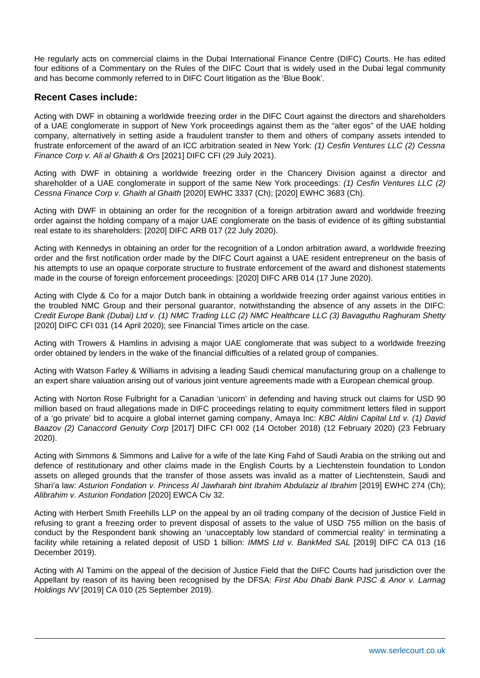He regularly acts on commercial claims in the Dubai International Finance Centre (DIFC) Courts. He has edited four editions of a Commentary on the Rules of the DIFC Court that is widely used in the Dubai legal community and has become commonly referred to in DIFC Court litigation as the 'Blue Book'.

#### **Recent Cases include:**

Acting with DWF in obtaining a worldwide freezing order in the DIFC Court against the directors and shareholders of a UAE conglomerate in support of New York proceedings against them as the "alter egos" of the UAE holding company, alternatively in setting aside a fraudulent transfer to them and others of company assets intended to frustrate enforcement of the award of an ICC arbitration seated in New York: (1) Cesfin Ventures LLC (2) Cessna Finance Corp v. Ali al Ghaith & Ors [2021] DIFC CFI (29 July 2021).

Acting with DWF in obtaining a worldwide freezing order in the Chancery Division against a director and shareholder of a UAE conglomerate in support of the same New York proceedings: (1) Cesfin Ventures LLC (2) Cessna Finance Corp v. Ghaith al Ghaith [2020] EWHC 3337 (Ch); [2020] EWHC 3683 (Ch).

Acting with DWF in obtaining an order for the recognition of a foreign arbitration award and worldwide freezing order against the holding company of a major UAE conglomerate on the basis of evidence of its gifting substantial real estate to its shareholders: [2020] DIFC ARB 017 (22 July 2020).

Acting with Kennedys in obtaining an order for the recognition of a London arbitration award, a worldwide freezing order and the first notification order made by the DIFC Court against a UAE resident entrepreneur on the basis of his attempts to use an opaque corporate structure to frustrate enforcement of the award and dishonest statements made in the course of foreign enforcement proceedings: [2020] DIFC ARB 014 (17 June 2020).

Acting with Clyde & Co for a major Dutch bank in obtaining a worldwide freezing order against various entities in the troubled NMC Group and their personal guarantor, notwithstanding the absence of any assets in the DIFC: Credit Europe Bank (Dubai) Ltd v. (1) NMC Trading LLC (2) NMC Healthcare LLC (3) Bavaguthu Raghuram Shetty [2020] DIFC CFI 031 (14 April 2020); see Financial Times article on the case.

Acting with Trowers & Hamlins in advising a major UAE conglomerate that was subject to a worldwide freezing order obtained by lenders in the wake of the financial difficulties of a related group of companies.

Acting with Watson Farley & Williams in advising a leading Saudi chemical manufacturing group on a challenge to an expert share valuation arising out of various joint venture agreements made with a European chemical group.

Acting with Norton Rose Fulbright for a Canadian 'unicorn' in defending and having struck out claims for USD 90 million based on fraud allegations made in DIFC proceedings relating to equity commitment letters filed in support of a 'go private' bid to acquire a global internet gaming company, Amaya Inc: KBC Aldini Capital Ltd v. (1) David Baazov (2) Canaccord Genuity Corp [2017] DIFC CFI 002 (14 October 2018) (12 February 2020) (23 February 2020).

Acting with Simmons & Simmons and Lalive for a wife of the late King Fahd of Saudi Arabia on the striking out and defence of restitutionary and other claims made in the English Courts by a Liechtenstein foundation to London assets on alleged grounds that the transfer of those assets was invalid as a matter of Liechtenstein, Saudi and Shari'a law: Asturion Fondation v. Princess Al Jawharah bint Ibrahim Abdulaziz al Ibrahim [2019] EWHC 274 (Ch); Alibrahim v. Asturion Fondation [2020] EWCA Civ 32.

Acting with Herbert Smith Freehills LLP on the appeal by an oil trading company of the decision of Justice Field in refusing to grant a freezing order to prevent disposal of assets to the value of USD 755 million on the basis of conduct by the Respondent bank showing an 'unacceptably low standard of commercial reality' in terminating a facility while retaining a related deposit of USD 1 billion: IMMS Ltd v. BankMed SAL [2019] DIFC CA 013 (16 December 2019).

Acting with Al Tamimi on the appeal of the decision of Justice Field that the DIFC Courts had jurisdiction over the Appellant by reason of its having been recognised by the DFSA: First Abu Dhabi Bank PJSC & Anor v. Larmag Holdings NV [2019] CA 010 (25 September 2019).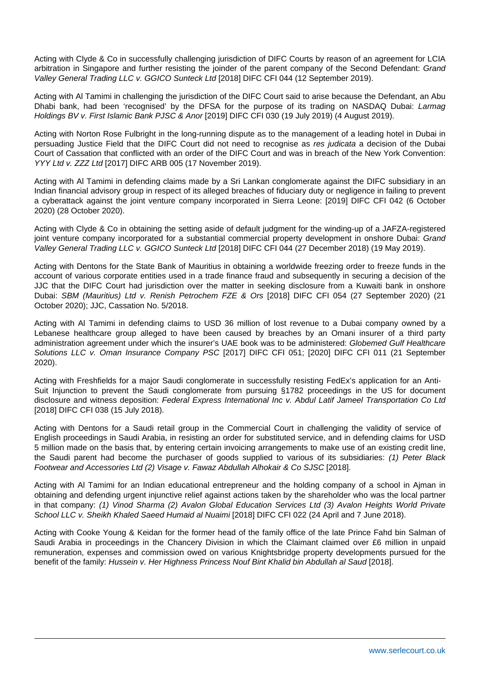Acting with Clyde & Co in successfully challenging jurisdiction of DIFC Courts by reason of an agreement for LCIA arbitration in Singapore and further resisting the joinder of the parent company of the Second Defendant: Grand Valley General Trading LLC v. GGICO Sunteck Ltd [2018] DIFC CFI 044 (12 September 2019).

Acting with Al Tamimi in challenging the jurisdiction of the DIFC Court said to arise because the Defendant, an Abu Dhabi bank, had been 'recognised' by the DFSA for the purpose of its trading on NASDAQ Dubai: Larmag Holdings BV v. First Islamic Bank PJSC & Anor [2019] DIFC CFI 030 (19 July 2019) (4 August 2019).

Acting with Norton Rose Fulbright in the long-running dispute as to the management of a leading hotel in Dubai in persuading Justice Field that the DIFC Court did not need to recognise as res judicata a decision of the Dubai Court of Cassation that conflicted with an order of the DIFC Court and was in breach of the New York Convention: YYY Ltd v. ZZZ Ltd [2017] DIFC ARB 005 (17 November 2019).

Acting with Al Tamimi in defending claims made by a Sri Lankan conglomerate against the DIFC subsidiary in an Indian financial advisory group in respect of its alleged breaches of fiduciary duty or negligence in failing to prevent a cyberattack against the joint venture company incorporated in Sierra Leone: [2019] DIFC CFI 042 (6 October 2020) (28 October 2020).

Acting with Clyde & Co in obtaining the setting aside of default judgment for the winding-up of a JAFZA-registered joint venture company incorporated for a substantial commercial property development in onshore Dubai: Grand Valley General Trading LLC v. GGICO Sunteck Ltd [2018] DIFC CFI 044 (27 December 2018) (19 May 2019).

Acting with Dentons for the State Bank of Mauritius in obtaining a worldwide freezing order to freeze funds in the account of various corporate entities used in a trade finance fraud and subsequently in securing a decision of the JJC that the DIFC Court had jurisdiction over the matter in seeking disclosure from a Kuwaiti bank in onshore Dubai: SBM (Mauritius) Ltd v. Renish Petrochem FZE & Ors [2018] DIFC CFI 054 (27 September 2020) (21 October 2020); JJC, Cassation No. 5/2018.

Acting with Al Tamimi in defending claims to USD 36 million of lost revenue to a Dubai company owned by a Lebanese healthcare group alleged to have been caused by breaches by an Omani insurer of a third party administration agreement under which the insurer's UAE book was to be administered: Globemed Gulf Healthcare Solutions LLC v. Oman Insurance Company PSC [2017] DIFC CFI 051; [2020] DIFC CFI 011 (21 September 2020).

Acting with Freshfields for a major Saudi conglomerate in successfully resisting FedEx's application for an Anti-Suit Injunction to prevent the Saudi conglomerate from pursuing §1782 proceedings in the US for document disclosure and witness deposition: Federal Express International Inc v. Abdul Latif Jameel Transportation Co Ltd [2018] DIFC CFI 038 (15 July 2018).

Acting with Dentons for a Saudi retail group in the Commercial Court in challenging the validity of service of English proceedings in Saudi Arabia, in resisting an order for substituted service, and in defending claims for USD 5 million made on the basis that, by entering certain invoicing arrangements to make use of an existing credit line, the Saudi parent had become the purchaser of goods supplied to various of its subsidiaries: (1) Peter Black Footwear and Accessories Ltd (2) Visage v. Fawaz Abdullah Alhokair & Co SJSC [2018].

Acting with Al Tamimi for an Indian educational entrepreneur and the holding company of a school in Ajman in obtaining and defending urgent injunctive relief against actions taken by the shareholder who was the local partner in that company: (1) Vinod Sharma (2) Avalon Global Education Services Ltd (3) Avalon Heights World Private School LLC v. Sheikh Khaled Saeed Humaid al Nuaimi [2018] DIFC CFI 022 (24 April and 7 June 2018).

Acting with Cooke Young & Keidan for the former head of the family office of the late Prince Fahd bin Salman of Saudi Arabia in proceedings in the Chancery Division in which the Claimant claimed over £6 million in unpaid remuneration, expenses and commission owed on various Knightsbridge property developments pursued for the benefit of the family: Hussein v. Her Highness Princess Nouf Bint Khalid bin Abdullah al Saud [2018].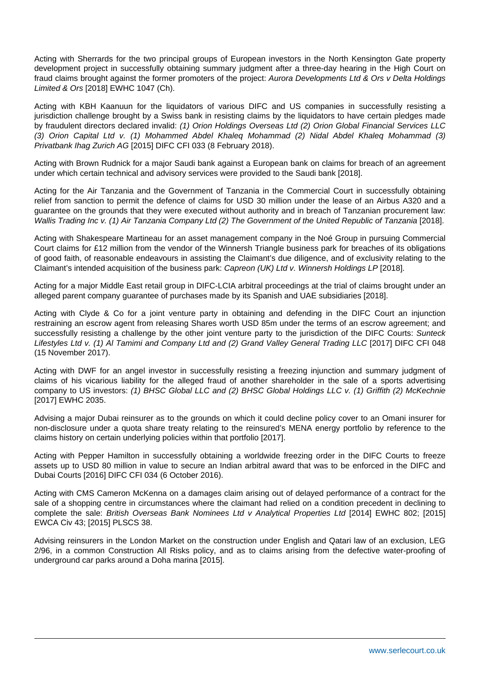Acting with Sherrards for the two principal groups of European investors in the North Kensington Gate property development project in successfully obtaining summary judgment after a three-day hearing in the High Court on fraud claims brought against the former promoters of the project: Aurora Developments Ltd & Ors v Delta Holdings Limited & Ors [2018] EWHC 1047 (Ch).

Acting with KBH Kaanuun for the liquidators of various DIFC and US companies in successfully resisting a jurisdiction challenge brought by a Swiss bank in resisting claims by the liquidators to have certain pledges made by fraudulent directors declared invalid: (1) Orion Holdings Overseas Ltd (2) Orion Global Financial Services LLC (3) Orion Capital Ltd v. (1) Mohammed Abdel Khaleq Mohammad (2) Nidal Abdel Khaleq Mohammad (3) Privatbank Ihag Zurich AG [2015] DIFC CFI 033 (8 February 2018).

Acting with Brown Rudnick for a major Saudi bank against a European bank on claims for breach of an agreement under which certain technical and advisory services were provided to the Saudi bank [2018].

Acting for the Air Tanzania and the Government of Tanzania in the Commercial Court in successfully obtaining relief from sanction to permit the defence of claims for USD 30 million under the lease of an Airbus A320 and a guarantee on the grounds that they were executed without authority and in breach of Tanzanian procurement law: Wallis Trading Inc v. (1) Air Tanzania Company Ltd (2) The Government of the United Republic of Tanzania [2018].

Acting with Shakespeare Martineau for an asset management company in the Noé Group in pursuing Commercial Court claims for £12 million from the vendor of the Winnersh Triangle business park for breaches of its obligations of good faith, of reasonable endeavours in assisting the Claimant's due diligence, and of exclusivity relating to the Claimant's intended acquisition of the business park: Capreon (UK) Ltd v. Winnersh Holdings LP [2018].

Acting for a major Middle East retail group in DIFC-LCIA arbitral proceedings at the trial of claims brought under an alleged parent company guarantee of purchases made by its Spanish and UAE subsidiaries [2018].

Acting with Clyde & Co for a joint venture party in obtaining and defending in the DIFC Court an injunction restraining an escrow agent from releasing Shares worth USD 85m under the terms of an escrow agreement; and successfully resisting a challenge by the other joint venture party to the jurisdiction of the DIFC Courts: Sunteck Lifestyles Ltd v. (1) Al Tamimi and Company Ltd and (2) Grand Valley General Trading LLC [2017] DIFC CFI 048 (15 November 2017).

Acting with DWF for an angel investor in successfully resisting a freezing injunction and summary judgment of claims of his vicarious liability for the alleged fraud of another shareholder in the sale of a sports advertising company to US investors: (1) BHSC Global LLC and (2) BHSC Global Holdings LLC v. (1) Griffith (2) McKechnie [2017] EWHC 2035.

Advising a major Dubai reinsurer as to the grounds on which it could decline policy cover to an Omani insurer for non-disclosure under a quota share treaty relating to the reinsured's MENA energy portfolio by reference to the claims history on certain underlying policies within that portfolio [2017].

Acting with Pepper Hamilton in successfully obtaining a worldwide freezing order in the DIFC Courts to freeze assets up to USD 80 million in value to secure an Indian arbitral award that was to be enforced in the DIFC and Dubai Courts [2016] DIFC CFI 034 (6 October 2016).

Acting with CMS Cameron McKenna on a damages claim arising out of delayed performance of a contract for the sale of a shopping centre in circumstances where the claimant had relied on a condition precedent in declining to complete the sale: British Overseas Bank Nominees Ltd v Analytical Properties Ltd [2014] EWHC 802; [2015] EWCA Civ 43; [2015] PLSCS 38.

Advising reinsurers in the London Market on the construction under English and Qatari law of an exclusion, LEG 2/96, in a common Construction All Risks policy, and as to claims arising from the defective water-proofing of underground car parks around a Doha marina [2015].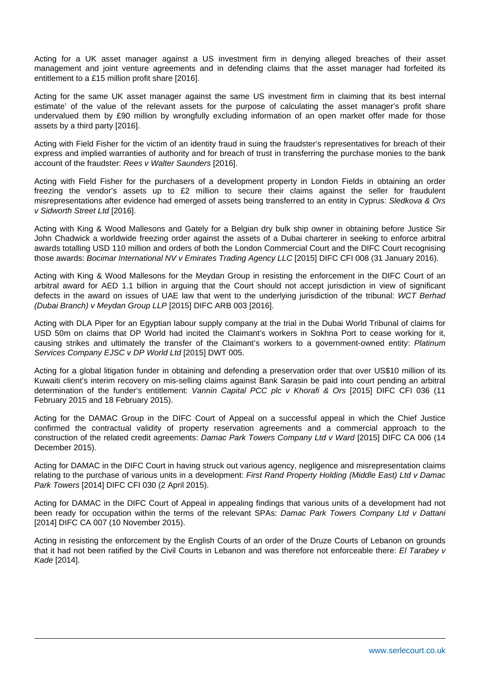Acting for a UK asset manager against a US investment firm in denying alleged breaches of their asset management and joint venture agreements and in defending claims that the asset manager had forfeited its entitlement to a £15 million profit share [2016].

Acting for the same UK asset manager against the same US investment firm in claiming that its best internal estimate' of the value of the relevant assets for the purpose of calculating the asset manager's profit share undervalued them by £90 million by wrongfully excluding information of an open market offer made for those assets by a third party [2016].

Acting with Field Fisher for the victim of an identity fraud in suing the fraudster's representatives for breach of their express and implied warranties of authority and for breach of trust in transferring the purchase monies to the bank account of the fraudster: Rees v Walter Saunders [2016].

Acting with Field Fisher for the purchasers of a development property in London Fields in obtaining an order freezing the vendor's assets up to £2 million to secure their claims against the seller for fraudulent misrepresentations after evidence had emerged of assets being transferred to an entity in Cyprus: Sledkova & Ors v Sidworth Street Ltd [2016].

Acting with King & Wood Mallesons and Gately for a Belgian dry bulk ship owner in obtaining before Justice Sir John Chadwick a worldwide freezing order against the assets of a Dubai charterer in seeking to enforce arbitral awards totalling USD 110 million and orders of both the London Commercial Court and the DIFC Court recognising those awards: Bocimar International NV v Emirates Trading Agency LLC [2015] DIFC CFI 008 (31 January 2016).

Acting with King & Wood Mallesons for the Meydan Group in resisting the enforcement in the DIFC Court of an arbitral award for AED 1.1 billion in arguing that the Court should not accept jurisdiction in view of significant defects in the award on issues of UAE law that went to the underlying jurisdiction of the tribunal: WCT Berhad (Dubai Branch) v Meydan Group LLP [2015] DIFC ARB 003 [2016].

Acting with DLA Piper for an Egyptian labour supply company at the trial in the Dubai World Tribunal of claims for USD 50m on claims that DP World had incited the Claimant's workers in Sokhna Port to cease working for it, causing strikes and ultimately the transfer of the Claimant's workers to a government-owned entity: Platinum Services Company EJSC v DP World Ltd [2015] DWT 005.

Acting for a global litigation funder in obtaining and defending a preservation order that over US\$10 million of its Kuwaiti client's interim recovery on mis-selling claims against Bank Sarasin be paid into court pending an arbitral determination of the funder's entitlement: Vannin Capital PCC plc v Khorafi & Ors [2015] DIFC CFI 036 (11 February 2015 and 18 February 2015).

Acting for the DAMAC Group in the DIFC Court of Appeal on a successful appeal in which the Chief Justice confirmed the contractual validity of property reservation agreements and a commercial approach to the construction of the related credit agreements: Damac Park Towers Company Ltd v Ward [2015] DIFC CA 006 (14 December 2015).

Acting for DAMAC in the DIFC Court in having struck out various agency, negligence and misrepresentation claims relating to the purchase of various units in a development: First Rand Property Holding (Middle East) Ltd v Damac Park Towers [2014] DIFC CFI 030 (2 April 2015).

Acting for DAMAC in the DIFC Court of Appeal in appealing findings that various units of a development had not been ready for occupation within the terms of the relevant SPAs: Damac Park Towers Company Ltd v Dattani [2014] DIFC CA 007 (10 November 2015).

Acting in resisting the enforcement by the English Courts of an order of the Druze Courts of Lebanon on grounds that it had not been ratified by the Civil Courts in Lebanon and was therefore not enforceable there: El Tarabey v Kade [2014].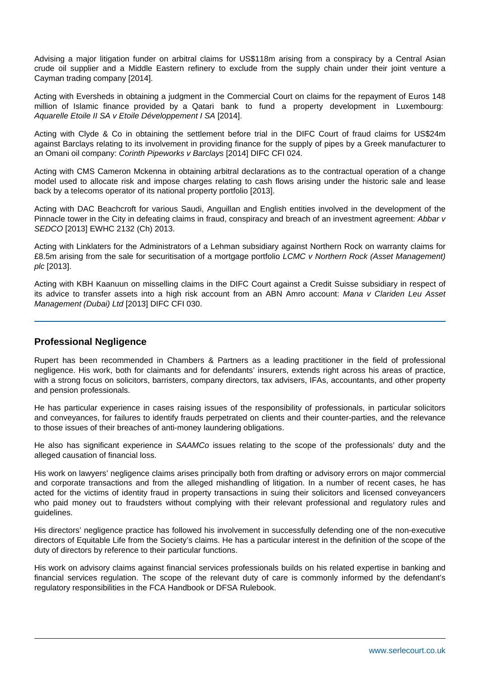Advising a major litigation funder on arbitral claims for US\$118m arising from a conspiracy by a Central Asian crude oil supplier and a Middle Eastern refinery to exclude from the supply chain under their joint venture a Cayman trading company [2014].

Acting with Eversheds in obtaining a judgment in the Commercial Court on claims for the repayment of Euros 148 million of Islamic finance provided by a Qatari bank to fund a property development in Luxembourg: Aquarelle Etoile II SA v Etoile Développement I SA [2014].

Acting with Clyde & Co in obtaining the settlement before trial in the DIFC Court of fraud claims for US\$24m against Barclays relating to its involvement in providing finance for the supply of pipes by a Greek manufacturer to an Omani oil company: Corinth Pipeworks v Barclays [2014] DIFC CFI 024.

Acting with CMS Cameron Mckenna in obtaining arbitral declarations as to the contractual operation of a change model used to allocate risk and impose charges relating to cash flows arising under the historic sale and lease back by a telecoms operator of its national property portfolio [2013].

Acting with DAC Beachcroft for various Saudi, Anguillan and English entities involved in the development of the Pinnacle tower in the City in defeating claims in fraud, conspiracy and breach of an investment agreement: Abbar v SEDCO [2013] EWHC 2132 (Ch) 2013.

Acting with Linklaters for the Administrators of a Lehman subsidiary against Northern Rock on warranty claims for £8.5m arising from the sale for securitisation of a mortgage portfolio LCMC v Northern Rock (Asset Management) plc [2013].

Acting with KBH Kaanuun on misselling claims in the DIFC Court against a Credit Suisse subsidiary in respect of its advice to transfer assets into a high risk account from an ABN Amro account: Mana v Clariden Leu Asset Management (Dubai) Ltd [2013] DIFC CFI 030.

#### **Professional Negligence**

Rupert has been recommended in Chambers & Partners as a leading practitioner in the field of professional negligence. His work, both for claimants and for defendants' insurers, extends right across his areas of practice, with a strong focus on solicitors, barristers, company directors, tax advisers, IFAs, accountants, and other property and pension professionals.

He has particular experience in cases raising issues of the responsibility of professionals, in particular solicitors and conveyances, for failures to identify frauds perpetrated on clients and their counter-parties, and the relevance to those issues of their breaches of anti-money laundering obligations.

He also has significant experience in SAAMCo issues relating to the scope of the professionals' duty and the alleged causation of financial loss.

His work on lawyers' negligence claims arises principally both from drafting or advisory errors on major commercial and corporate transactions and from the alleged mishandling of litigation. In a number of recent cases, he has acted for the victims of identity fraud in property transactions in suing their solicitors and licensed conveyancers who paid money out to fraudsters without complying with their relevant professional and regulatory rules and guidelines.

His directors' negligence practice has followed his involvement in successfully defending one of the non-executive directors of Equitable Life from the Society's claims. He has a particular interest in the definition of the scope of the duty of directors by reference to their particular functions.

His work on advisory claims against financial services professionals builds on his related expertise in banking and financial services regulation. The scope of the relevant duty of care is commonly informed by the defendant's regulatory responsibilities in the FCA Handbook or DFSA Rulebook.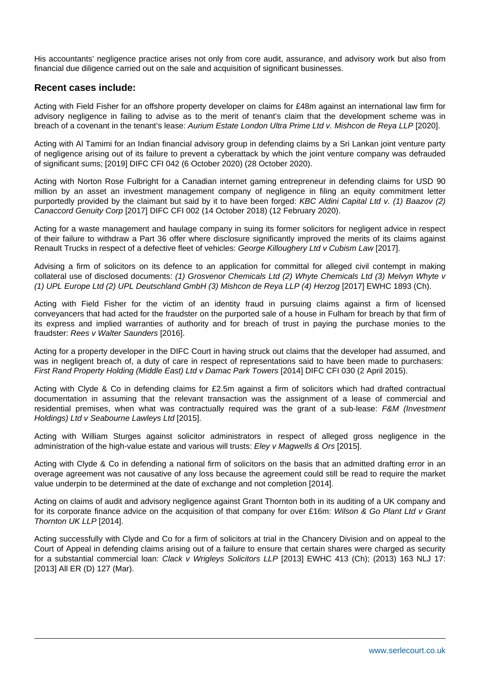His accountants' negligence practice arises not only from core audit, assurance, and advisory work but also from financial due diligence carried out on the sale and acquisition of significant businesses.

#### **Recent cases include:**

Acting with Field Fisher for an offshore property developer on claims for £48m against an international law firm for advisory negligence in failing to advise as to the merit of tenant's claim that the development scheme was in breach of a covenant in the tenant's lease: Aurium Estate London Ultra Prime Ltd v. Mishcon de Reya LLP [2020].

Acting with Al Tamimi for an Indian financial advisory group in defending claims by a Sri Lankan joint venture party of negligence arising out of its failure to prevent a cyberattack by which the joint venture company was defrauded of significant sums; [2019] DIFC CFI 042 (6 October 2020) (28 October 2020).

Acting with Norton Rose Fulbright for a Canadian internet gaming entrepreneur in defending claims for USD 90 million by an asset an investment management company of negligence in filing an equity commitment letter purportedly provided by the claimant but said by it to have been forged: KBC Aldini Capital Ltd v. (1) Baazov (2) Canaccord Genuity Corp [2017] DIFC CFI 002 (14 October 2018) (12 February 2020).

Acting for a waste management and haulage company in suing its former solicitors for negligent advice in respect of their failure to withdraw a Part 36 offer where disclosure significantly improved the merits of its claims against Renault Trucks in respect of a defective fleet of vehicles: George Killoughery Ltd v Cubism Law [2017].

Advising a firm of solicitors on its defence to an application for committal for alleged civil contempt in making collateral use of disclosed documents: (1) Grosvenor Chemicals Ltd (2) Whyte Chemicals Ltd (3) Melvyn Whyte v (1) UPL Europe Ltd (2) UPL Deutschland GmbH (3) Mishcon de Reya LLP (4) Herzog [2017] EWHC 1893 (Ch).

Acting with Field Fisher for the victim of an identity fraud in pursuing claims against a firm of licensed conveyancers that had acted for the fraudster on the purported sale of a house in Fulham for breach by that firm of its express and implied warranties of authority and for breach of trust in paying the purchase monies to the fraudster: Rees v Walter Saunders [2016].

Acting for a property developer in the DIFC Court in having struck out claims that the developer had assumed, and was in negligent breach of, a duty of care in respect of representations said to have been made to purchasers: First Rand Property Holding (Middle East) Ltd v Damac Park Towers [2014] DIFC CFI 030 (2 April 2015).

Acting with Clyde & Co in defending claims for £2.5m against a firm of solicitors which had drafted contractual documentation in assuming that the relevant transaction was the assignment of a lease of commercial and residential premises, when what was contractually required was the grant of a sub-lease: F&M (Investment Holdings) Ltd v Seabourne Lawleys Ltd [2015].

Acting with William Sturges against solicitor administrators in respect of alleged gross negligence in the administration of the high-value estate and various will trusts: Eley v Magwells & Ors [2015].

Acting with Clyde & Co in defending a national firm of solicitors on the basis that an admitted drafting error in an overage agreement was not causative of any loss because the agreement could still be read to require the market value underpin to be determined at the date of exchange and not completion [2014].

Acting on claims of audit and advisory negligence against Grant Thornton both in its auditing of a UK company and for its corporate finance advice on the acquisition of that company for over £16m: Wilson & Go Plant Ltd v Grant Thornton UK LLP [2014].

Acting successfully with Clyde and Co for a firm of solicitors at trial in the Chancery Division and on appeal to the Court of Appeal in defending claims arising out of a failure to ensure that certain shares were charged as security for a substantial commercial loan: Clack v Wrigleys Solicitors LLP [2013] EWHC 413 (Ch); (2013) 163 NLJ 17: [2013] All ER (D) 127 (Mar).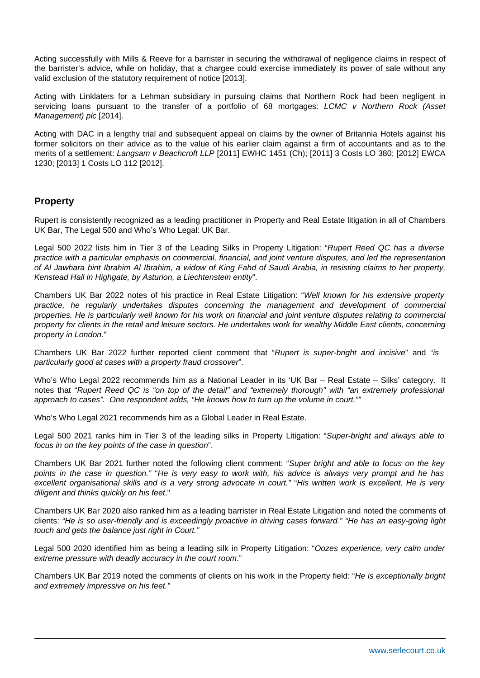Acting successfully with Mills & Reeve for a barrister in securing the withdrawal of negligence claims in respect of the barrister's advice, while on holiday, that a chargee could exercise immediately its power of sale without any valid exclusion of the statutory requirement of notice [2013].

Acting with Linklaters for a Lehman subsidiary in pursuing claims that Northern Rock had been negligent in servicing loans pursuant to the transfer of a portfolio of 68 mortgages: LCMC v Northern Rock (Asset Management) plc [2014].

Acting with DAC in a lengthy trial and subsequent appeal on claims by the owner of Britannia Hotels against his former solicitors on their advice as to the value of his earlier claim against a firm of accountants and as to the merits of a settlement: Langsam v Beachcroft LLP [2011] EWHC 1451 (Ch); [2011] 3 Costs LO 380; [2012] EWCA 1230; [2013] 1 Costs LO 112 [2012].

#### **Property**

Rupert is consistently recognized as a leading practitioner in Property and Real Estate litigation in all of Chambers UK Bar, The Legal 500 and Who's Who Legal: UK Bar.

Legal 500 2022 lists him in Tier 3 of the Leading Silks in Property Litigation: "Rupert Reed QC has a diverse practice with a particular emphasis on commercial, financial, and joint venture disputes, and led the representation of Al Jawhara bint Ibrahim Al Ibrahim, a widow of King Fahd of Saudi Arabia, in resisting claims to her property, Kenstead Hall in Highgate, by Asturion, a Liechtenstein entity".

Chambers UK Bar 2022 notes of his practice in Real Estate Litigation: "Well known for his extensive property practice, he regularly undertakes disputes concerning the management and development of commercial properties. He is particularly well known for his work on financial and joint venture disputes relating to commercial property for clients in the retail and leisure sectors. He undertakes work for wealthy Middle East clients, concerning property in London."

Chambers UK Bar 2022 further reported client comment that "Rupert is super-bright and incisive" and "is particularly good at cases with a property fraud crossover".

Who's Who Legal 2022 recommends him as a National Leader in its 'UK Bar – Real Estate – Silks' category. It notes that "Rupert Reed QC is "on top of the detail" and "extremely thorough" with "an extremely professional approach to cases". One respondent adds, "He knows how to turn up the volume in court.""

Who's Who Legal 2021 recommends him as a Global Leader in Real Estate.

Legal 500 2021 ranks him in Tier 3 of the leading silks in Property Litigation: "Super-bright and always able to focus in on the key points of the case in question".

Chambers UK Bar 2021 further noted the following client comment: "Super bright and able to focus on the key points in the case in question." "He is very easy to work with, his advice is always very prompt and he has excellent organisational skills and is a very strong advocate in court." "His written work is excellent. He is very diligent and thinks quickly on his feet."

Chambers UK Bar 2020 also ranked him as a leading barrister in Real Estate Litigation and noted the comments of clients: "He is so user-friendly and is exceedingly proactive in driving cases forward." "He has an easy-going light touch and gets the balance just right in Court."

Legal 500 2020 identified him as being a leading silk in Property Litigation: "Oozes experience, very calm under extreme pressure with deadly accuracy in the court room."

Chambers UK Bar 2019 noted the comments of clients on his work in the Property field: "He is exceptionally bright and extremely impressive on his feet."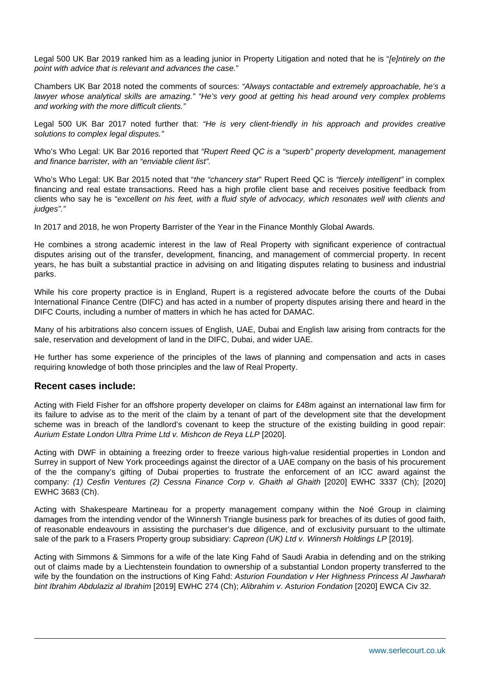Legal 500 UK Bar 2019 ranked him as a leading junior in Property Litigation and noted that he is "[e]ntirely on the point with advice that is relevant and advances the case."

Chambers UK Bar 2018 noted the comments of sources: "Always contactable and extremely approachable, he's a lawyer whose analytical skills are amazing." "He's very good at getting his head around very complex problems and working with the more difficult clients."

Legal 500 UK Bar 2017 noted further that: "He is very client-friendly in his approach and provides creative solutions to complex legal disputes."

Who's Who Legal: UK Bar 2016 reported that "Rupert Reed QC is a "superb" property development, management and finance barrister, with an "enviable client list".

Who's Who Legal: UK Bar 2015 noted that "the "chancery star" Rupert Reed QC is "fiercely intelligent" in complex financing and real estate transactions. Reed has a high profile client base and receives positive feedback from clients who say he is "excellent on his feet, with a fluid style of advocacy, which resonates well with clients and judges"."

In 2017 and 2018, he won Property Barrister of the Year in the Finance Monthly Global Awards.

He combines a strong academic interest in the law of Real Property with significant experience of contractual disputes arising out of the transfer, development, financing, and management of commercial property. In recent years, he has built a substantial practice in advising on and litigating disputes relating to business and industrial parks.

While his core property practice is in England, Rupert is a registered advocate before the courts of the Dubai International Finance Centre (DIFC) and has acted in a number of property disputes arising there and heard in the DIFC Courts, including a number of matters in which he has acted for DAMAC.

Many of his arbitrations also concern issues of English, UAE, Dubai and English law arising from contracts for the sale, reservation and development of land in the DIFC, Dubai, and wider UAE.

He further has some experience of the principles of the laws of planning and compensation and acts in cases requiring knowledge of both those principles and the law of Real Property.

#### **Recent cases include:**

Acting with Field Fisher for an offshore property developer on claims for £48m against an international law firm for its failure to advise as to the merit of the claim by a tenant of part of the development site that the development scheme was in breach of the landlord's covenant to keep the structure of the existing building in good repair: Aurium Estate London Ultra Prime Ltd v. Mishcon de Reya LLP [2020].

Acting with DWF in obtaining a freezing order to freeze various high-value residential properties in London and Surrey in support of New York proceedings against the director of a UAE company on the basis of his procurement of the the company's gifting of Dubai properties to frustrate the enforcement of an ICC award against the company: (1) Cesfin Ventures (2) Cessna Finance Corp v. Ghaith al Ghaith [2020] EWHC 3337 (Ch); [2020] EWHC 3683 (Ch).

Acting with Shakespeare Martineau for a property management company within the Noé Group in claiming damages from the intending vendor of the Winnersh Triangle business park for breaches of its duties of good faith, of reasonable endeavours in assisting the purchaser's due diligence, and of exclusivity pursuant to the ultimate sale of the park to a Frasers Property group subsidiary: Capreon (UK) Ltd v. Winnersh Holdings LP [2019].

Acting with Simmons & Simmons for a wife of the late King Fahd of Saudi Arabia in defending and on the striking out of claims made by a Liechtenstein foundation to ownership of a substantial London property transferred to the wife by the foundation on the instructions of King Fahd: Asturion Foundation v Her Highness Princess Al Jawharah bint Ibrahim Abdulaziz al Ibrahim [2019] EWHC 274 (Ch); Alibrahim v. Asturion Fondation [2020] EWCA Civ 32.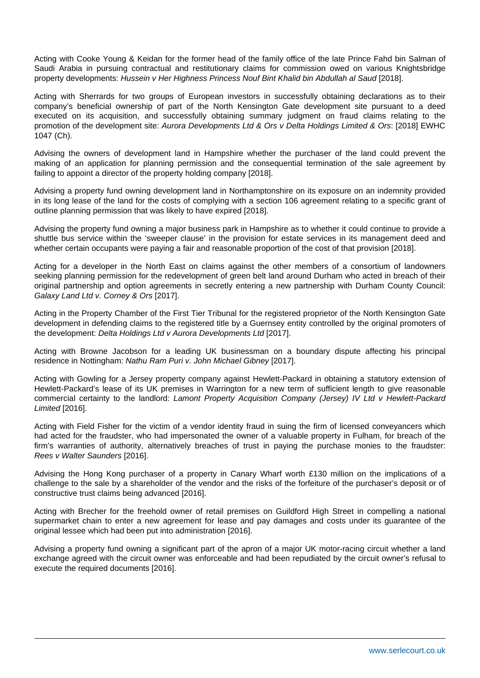Acting with Cooke Young & Keidan for the former head of the family office of the late Prince Fahd bin Salman of Saudi Arabia in pursuing contractual and restitutionary claims for commission owed on various Knightsbridge property developments: Hussein v Her Highness Princess Nouf Bint Khalid bin Abdullah al Saud [2018].

Acting with Sherrards for two groups of European investors in successfully obtaining declarations as to their company's beneficial ownership of part of the North Kensington Gate development site pursuant to a deed executed on its acquisition, and successfully obtaining summary judgment on fraud claims relating to the promotion of the development site: Aurora Developments Ltd & Ors v Delta Holdings Limited & Ors: [2018] EWHC 1047 (Ch).

Advising the owners of development land in Hampshire whether the purchaser of the land could prevent the making of an application for planning permission and the consequential termination of the sale agreement by failing to appoint a director of the property holding company [2018].

Advising a property fund owning development land in Northamptonshire on its exposure on an indemnity provided in its long lease of the land for the costs of complying with a section 106 agreement relating to a specific grant of outline planning permission that was likely to have expired [2018].

Advising the property fund owning a major business park in Hampshire as to whether it could continue to provide a shuttle bus service within the 'sweeper clause' in the provision for estate services in its management deed and whether certain occupants were paying a fair and reasonable proportion of the cost of that provision [2018].

Acting for a developer in the North East on claims against the other members of a consortium of landowners seeking planning permission for the redevelopment of green belt land around Durham who acted in breach of their original partnership and option agreements in secretly entering a new partnership with Durham County Council: Galaxy Land Ltd v. Corney & Ors [2017].

Acting in the Property Chamber of the First Tier Tribunal for the registered proprietor of the North Kensington Gate development in defending claims to the registered title by a Guernsey entity controlled by the original promoters of the development: Delta Holdings Ltd v Aurora Developments Ltd [2017].

Acting with Browne Jacobson for a leading UK businessman on a boundary dispute affecting his principal residence in Nottingham: Nathu Ram Puri v. John Michael Gibney [2017].

Acting with Gowling for a Jersey property company against Hewlett-Packard in obtaining a statutory extension of Hewlett-Packard's lease of its UK premises in Warrington for a new term of sufficient length to give reasonable commercial certainty to the landlord: Lamont Property Acquisition Company (Jersey) IV Ltd v Hewlett-Packard Limited [2016].

Acting with Field Fisher for the victim of a vendor identity fraud in suing the firm of licensed conveyancers which had acted for the fraudster, who had impersonated the owner of a valuable property in Fulham, for breach of the firm's warranties of authority, alternatively breaches of trust in paying the purchase monies to the fraudster: Rees v Walter Saunders [2016].

Advising the Hong Kong purchaser of a property in Canary Wharf worth £130 million on the implications of a challenge to the sale by a shareholder of the vendor and the risks of the forfeiture of the purchaser's deposit or of constructive trust claims being advanced [2016].

Acting with Brecher for the freehold owner of retail premises on Guildford High Street in compelling a national supermarket chain to enter a new agreement for lease and pay damages and costs under its guarantee of the original lessee which had been put into administration [2016].

Advising a property fund owning a significant part of the apron of a major UK motor-racing circuit whether a land exchange agreed with the circuit owner was enforceable and had been repudiated by the circuit owner's refusal to execute the required documents [2016].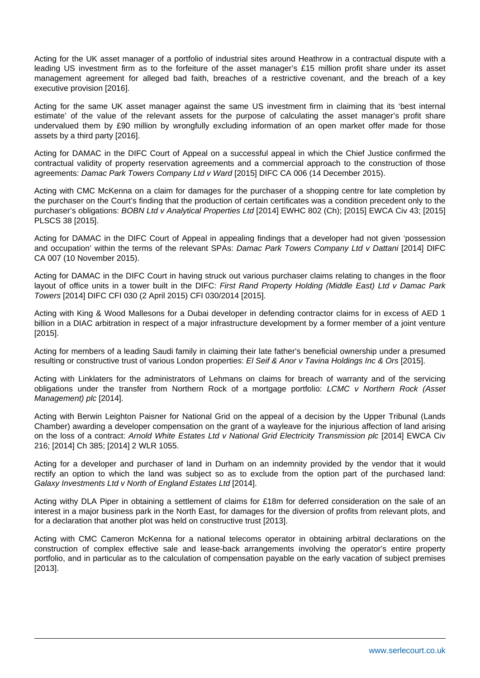Acting for the UK asset manager of a portfolio of industrial sites around Heathrow in a contractual dispute with a leading US investment firm as to the forfeiture of the asset manager's £15 million profit share under its asset management agreement for alleged bad faith, breaches of a restrictive covenant, and the breach of a key executive provision [2016].

Acting for the same UK asset manager against the same US investment firm in claiming that its 'best internal estimate' of the value of the relevant assets for the purpose of calculating the asset manager's profit share undervalued them by £90 million by wrongfully excluding information of an open market offer made for those assets by a third party [2016].

Acting for DAMAC in the DIFC Court of Appeal on a successful appeal in which the Chief Justice confirmed the contractual validity of property reservation agreements and a commercial approach to the construction of those agreements: Damac Park Towers Company Ltd v Ward [2015] DIFC CA 006 (14 December 2015).

Acting with CMC McKenna on a claim for damages for the purchaser of a shopping centre for late completion by the purchaser on the Court's finding that the production of certain certificates was a condition precedent only to the purchaser's obligations: BOBN Ltd v Analytical Properties Ltd [2014] EWHC 802 (Ch); [2015] EWCA Civ 43; [2015] PLSCS 38 [2015].

Acting for DAMAC in the DIFC Court of Appeal in appealing findings that a developer had not given 'possession and occupation' within the terms of the relevant SPAs: Damac Park Towers Company Ltd v Dattani [2014] DIFC CA 007 (10 November 2015).

Acting for DAMAC in the DIFC Court in having struck out various purchaser claims relating to changes in the floor layout of office units in a tower built in the DIFC: First Rand Property Holding (Middle East) Ltd v Damac Park Towers [2014] DIFC CFI 030 (2 April 2015) CFI 030/2014 [2015].

Acting with King & Wood Mallesons for a Dubai developer in defending contractor claims for in excess of AED 1 billion in a DIAC arbitration in respect of a major infrastructure development by a former member of a joint venture [2015].

Acting for members of a leading Saudi family in claiming their late father's beneficial ownership under a presumed resulting or constructive trust of various London properties: El Seif & Anor v Tavina Holdings Inc & Ors [2015].

Acting with Linklaters for the administrators of Lehmans on claims for breach of warranty and of the servicing obligations under the transfer from Northern Rock of a mortgage portfolio: LCMC v Northern Rock (Asset Management) plc [2014].

Acting with Berwin Leighton Paisner for National Grid on the appeal of a decision by the Upper Tribunal (Lands Chamber) awarding a developer compensation on the grant of a wayleave for the injurious affection of land arising on the loss of a contract: Arnold White Estates Ltd v National Grid Electricity Transmission plc [2014] EWCA Civ 216; [2014] Ch 385; [2014] 2 WLR 1055.

Acting for a developer and purchaser of land in Durham on an indemnity provided by the vendor that it would rectify an option to which the land was subject so as to exclude from the option part of the purchased land: Galaxy Investments Ltd v North of England Estates Ltd [2014].

Acting withy DLA Piper in obtaining a settlement of claims for £18m for deferred consideration on the sale of an interest in a major business park in the North East, for damages for the diversion of profits from relevant plots, and for a declaration that another plot was held on constructive trust [2013].

Acting with CMC Cameron McKenna for a national telecoms operator in obtaining arbitral declarations on the construction of complex effective sale and lease-back arrangements involving the operator's entire property portfolio, and in particular as to the calculation of compensation payable on the early vacation of subject premises [2013].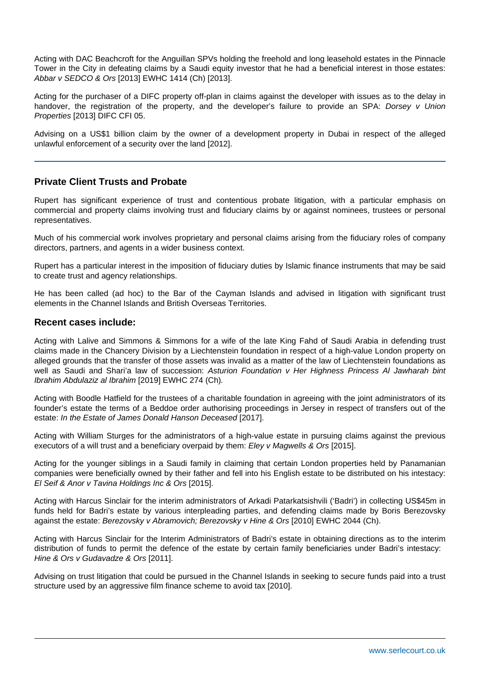Acting with DAC Beachcroft for the Anguillan SPVs holding the freehold and long leasehold estates in the Pinnacle Tower in the City in defeating claims by a Saudi equity investor that he had a beneficial interest in those estates: Abbar v SEDCO & Ors [2013] EWHC 1414 (Ch) [2013].

Acting for the purchaser of a DIFC property off-plan in claims against the developer with issues as to the delay in handover, the registration of the property, and the developer's failure to provide an SPA: Dorsey y Union Properties [2013] DIFC CFI 05.

Advising on a US\$1 billion claim by the owner of a development property in Dubai in respect of the alleged unlawful enforcement of a security over the land [2012].

#### **Private Client Trusts and Probate**

Rupert has significant experience of trust and contentious probate litigation, with a particular emphasis on commercial and property claims involving trust and fiduciary claims by or against nominees, trustees or personal representatives.

Much of his commercial work involves proprietary and personal claims arising from the fiduciary roles of company directors, partners, and agents in a wider business context.

Rupert has a particular interest in the imposition of fiduciary duties by Islamic finance instruments that may be said to create trust and agency relationships.

He has been called (ad hoc) to the Bar of the Cayman Islands and advised in litigation with significant trust elements in the Channel Islands and British Overseas Territories.

#### **Recent cases include:**

Acting with Lalive and Simmons & Simmons for a wife of the late King Fahd of Saudi Arabia in defending trust claims made in the Chancery Division by a Liechtenstein foundation in respect of a high-value London property on alleged grounds that the transfer of those assets was invalid as a matter of the law of Liechtenstein foundations as well as Saudi and Shari'a law of succession: Asturion Foundation v Her Highness Princess Al Jawharah bint Ibrahim Abdulaziz al Ibrahim [2019] EWHC 274 (Ch).

Acting with Boodle Hatfield for the trustees of a charitable foundation in agreeing with the joint administrators of its founder's estate the terms of a Beddoe order authorising proceedings in Jersey in respect of transfers out of the estate: In the Estate of James Donald Hanson Deceased [2017].

Acting with William Sturges for the administrators of a high-value estate in pursuing claims against the previous executors of a will trust and a beneficiary overpaid by them: Eley v Magwells & Ors [2015].

Acting for the younger siblings in a Saudi family in claiming that certain London properties held by Panamanian companies were beneficially owned by their father and fell into his English estate to be distributed on his intestacy: El Seif & Anor v Tavina Holdings Inc & Ors [2015].

Acting with Harcus Sinclair for the interim administrators of Arkadi Patarkatsishvili ('Badri') in collecting US\$45m in funds held for Badri's estate by various interpleading parties, and defending claims made by Boris Berezovsky against the estate: Berezovsky v Abramovich; Berezovsky v Hine & Ors [2010] EWHC 2044 (Ch).

Acting with Harcus Sinclair for the Interim Administrators of Badri's estate in obtaining directions as to the interim distribution of funds to permit the defence of the estate by certain family beneficiaries under Badri's intestacy: Hine & Ors v Gudavadze & Ors [2011].

Advising on trust litigation that could be pursued in the Channel Islands in seeking to secure funds paid into a trust structure used by an aggressive film finance scheme to avoid tax [2010].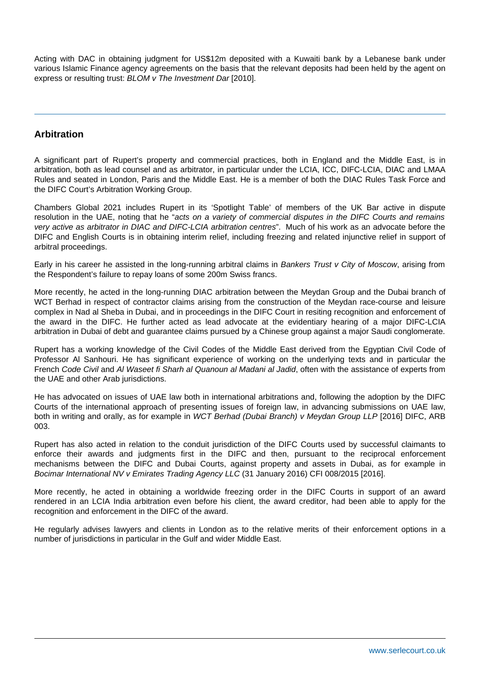Acting with DAC in obtaining judgment for US\$12m deposited with a Kuwaiti bank by a Lebanese bank under various Islamic Finance agency agreements on the basis that the relevant deposits had been held by the agent on express or resulting trust: BLOM v The Investment Dar [2010].

#### **Arbitration**

A significant part of Rupert's property and commercial practices, both in England and the Middle East, is in arbitration, both as lead counsel and as arbitrator, in particular under the LCIA, ICC, DIFC-LCIA, DIAC and LMAA Rules and seated in London, Paris and the Middle East. He is a member of both the DIAC Rules Task Force and the DIFC Court's Arbitration Working Group.

Chambers Global 2021 includes Rupert in its 'Spotlight Table' of members of the UK Bar active in dispute resolution in the UAE, noting that he "acts on a variety of commercial disputes in the DIFC Courts and remains very active as arbitrator in DIAC and DIFC-LCIA arbitration centres". Much of his work as an advocate before the DIFC and English Courts is in obtaining interim relief, including freezing and related injunctive relief in support of arbitral proceedings.

Early in his career he assisted in the long-running arbitral claims in Bankers Trust v City of Moscow, arising from the Respondent's failure to repay loans of some 200m Swiss francs.

More recently, he acted in the long-running DIAC arbitration between the Meydan Group and the Dubai branch of WCT Berhad in respect of contractor claims arising from the construction of the Meydan race-course and leisure complex in Nad al Sheba in Dubai, and in proceedings in the DIFC Court in resiting recognition and enforcement of the award in the DIFC. He further acted as lead advocate at the evidentiary hearing of a major DIFC-LCIA arbitration in Dubai of debt and guarantee claims pursued by a Chinese group against a major Saudi conglomerate.

Rupert has a working knowledge of the Civil Codes of the Middle East derived from the Egyptian Civil Code of Professor Al Sanhouri. He has significant experience of working on the underlying texts and in particular the French Code Civil and Al Waseet fi Sharh al Quanoun al Madani al Jadid, often with the assistance of experts from the UAE and other Arab jurisdictions.

He has advocated on issues of UAE law both in international arbitrations and, following the adoption by the DIFC Courts of the international approach of presenting issues of foreign law, in advancing submissions on UAE law, both in writing and orally, as for example in WCT Berhad (Dubai Branch) v Meydan Group LLP [2016] DIFC, ARB 003.

Rupert has also acted in relation to the conduit jurisdiction of the DIFC Courts used by successful claimants to enforce their awards and judgments first in the DIFC and then, pursuant to the reciprocal enforcement mechanisms between the DIFC and Dubai Courts, against property and assets in Dubai, as for example in Bocimar International NV v Emirates Trading Agency LLC (31 January 2016) CFI 008/2015 [2016].

More recently, he acted in obtaining a worldwide freezing order in the DIFC Courts in support of an award rendered in an LCIA India arbitration even before his client, the award creditor, had been able to apply for the recognition and enforcement in the DIFC of the award.

He regularly advises lawyers and clients in London as to the relative merits of their enforcement options in a number of jurisdictions in particular in the Gulf and wider Middle East.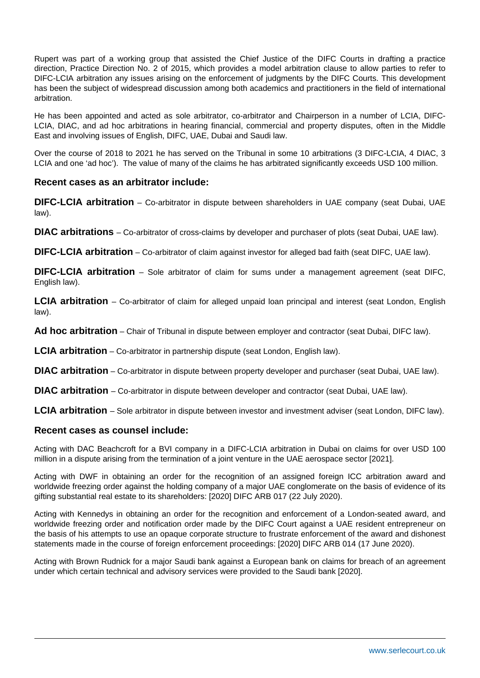Rupert was part of a working group that assisted the Chief Justice of the DIFC Courts in drafting a practice direction, Practice Direction No. 2 of 2015, which provides a model arbitration clause to allow parties to refer to DIFC-LCIA arbitration any issues arising on the enforcement of judgments by the DIFC Courts. This development has been the subject of widespread discussion among both academics and practitioners in the field of international arbitration.

He has been appointed and acted as sole arbitrator, co-arbitrator and Chairperson in a number of LCIA, DIFC-LCIA, DIAC, and ad hoc arbitrations in hearing financial, commercial and property disputes, often in the Middle East and involving issues of English, DIFC, UAE, Dubai and Saudi law.

Over the course of 2018 to 2021 he has served on the Tribunal in some 10 arbitrations (3 DIFC-LCIA, 4 DIAC, 3 LCIA and one 'ad hoc'). The value of many of the claims he has arbitrated significantly exceeds USD 100 million.

#### **Recent cases as an arbitrator include:**

**DIFC-LCIA arbitration** – Co-arbitrator in dispute between shareholders in UAE company (seat Dubai, UAE law).

**DIAC arbitrations** – Co-arbitrator of cross-claims by developer and purchaser of plots (seat Dubai, UAE law).

**DIFC-LCIA arbitration** – Co-arbitrator of claim against investor for alleged bad faith (seat DIFC, UAE law).

**DIFC-LCIA arbitration** – Sole arbitrator of claim for sums under a management agreement (seat DIFC, English law).

**LCIA arbitration** – Co-arbitrator of claim for alleged unpaid loan principal and interest (seat London, English law).

**Ad hoc arbitration** – Chair of Tribunal in dispute between employer and contractor (seat Dubai, DIFC law).

**LCIA arbitration** – Co-arbitrator in partnership dispute (seat London, English law).

**DIAC arbitration** – Co-arbitrator in dispute between property developer and purchaser (seat Dubai, UAE law).

**DIAC arbitration** – Co-arbitrator in dispute between developer and contractor (seat Dubai, UAE law).

**LCIA arbitration** – Sole arbitrator in dispute between investor and investment adviser (seat London, DIFC law).

#### **Recent cases as counsel include:**

Acting with DAC Beachcroft for a BVI company in a DIFC-LCIA arbitration in Dubai on claims for over USD 100 million in a dispute arising from the termination of a joint venture in the UAE aerospace sector [2021].

Acting with DWF in obtaining an order for the recognition of an assigned foreign ICC arbitration award and worldwide freezing order against the holding company of a major UAE conglomerate on the basis of evidence of its gifting substantial real estate to its shareholders: [2020] DIFC ARB 017 (22 July 2020).

Acting with Kennedys in obtaining an order for the recognition and enforcement of a London-seated award, and worldwide freezing order and notification order made by the DIFC Court against a UAE resident entrepreneur on the basis of his attempts to use an opaque corporate structure to frustrate enforcement of the award and dishonest statements made in the course of foreign enforcement proceedings: [2020] DIFC ARB 014 (17 June 2020).

Acting with Brown Rudnick for a major Saudi bank against a European bank on claims for breach of an agreement under which certain technical and advisory services were provided to the Saudi bank [2020].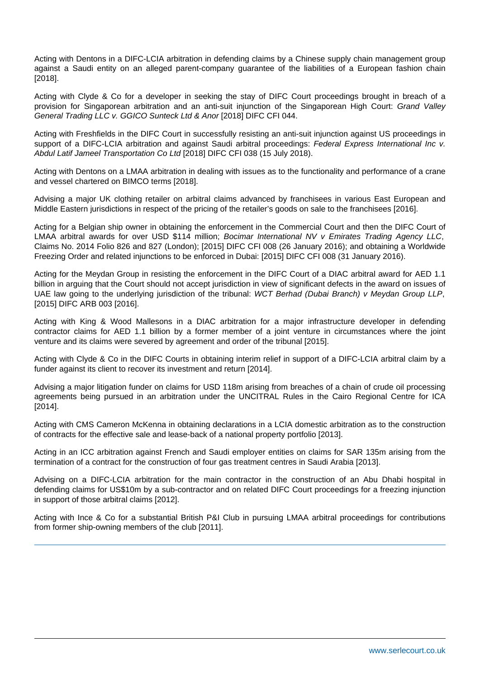Acting with Dentons in a DIFC-LCIA arbitration in defending claims by a Chinese supply chain management group against a Saudi entity on an alleged parent-company guarantee of the liabilities of a European fashion chain [2018].

Acting with Clyde & Co for a developer in seeking the stay of DIFC Court proceedings brought in breach of a provision for Singaporean arbitration and an anti-suit injunction of the Singaporean High Court: Grand Valley General Trading LLC v. GGICO Sunteck Ltd & Anor [2018] DIFC CFI 044.

Acting with Freshfields in the DIFC Court in successfully resisting an anti-suit injunction against US proceedings in support of a DIFC-LCIA arbitration and against Saudi arbitral proceedings: Federal Express International Inc v. Abdul Latif Jameel Transportation Co Ltd [2018] DIFC CFI 038 (15 July 2018).

Acting with Dentons on a LMAA arbitration in dealing with issues as to the functionality and performance of a crane and vessel chartered on BIMCO terms [2018].

Advising a major UK clothing retailer on arbitral claims advanced by franchisees in various East European and Middle Eastern jurisdictions in respect of the pricing of the retailer's goods on sale to the franchisees [2016].

Acting for a Belgian ship owner in obtaining the enforcement in the Commercial Court and then the DIFC Court of LMAA arbitral awards for over USD \$114 million; Bocimar International NV v Emirates Trading Agency LLC, Claims No. 2014 Folio 826 and 827 (London); [2015] DIFC CFI 008 (26 January 2016); and obtaining a Worldwide Freezing Order and related injunctions to be enforced in Dubai: [2015] DIFC CFI 008 (31 January 2016).

Acting for the Meydan Group in resisting the enforcement in the DIFC Court of a DIAC arbitral award for AED 1.1 billion in arguing that the Court should not accept jurisdiction in view of significant defects in the award on issues of UAE law going to the underlying jurisdiction of the tribunal: WCT Berhad (Dubai Branch) v Meydan Group LLP, [2015] DIFC ARB 003 [2016].

Acting with King & Wood Mallesons in a DIAC arbitration for a major infrastructure developer in defending contractor claims for AED 1.1 billion by a former member of a joint venture in circumstances where the joint venture and its claims were severed by agreement and order of the tribunal [2015].

Acting with Clyde & Co in the DIFC Courts in obtaining interim relief in support of a DIFC-LCIA arbitral claim by a funder against its client to recover its investment and return [2014].

Advising a major litigation funder on claims for USD 118m arising from breaches of a chain of crude oil processing agreements being pursued in an arbitration under the UNCITRAL Rules in the Cairo Regional Centre for ICA [2014].

Acting with CMS Cameron McKenna in obtaining declarations in a LCIA domestic arbitration as to the construction of contracts for the effective sale and lease-back of a national property portfolio [2013].

Acting in an ICC arbitration against French and Saudi employer entities on claims for SAR 135m arising from the termination of a contract for the construction of four gas treatment centres in Saudi Arabia [2013].

Advising on a DIFC-LCIA arbitration for the main contractor in the construction of an Abu Dhabi hospital in defending claims for US\$10m by a sub-contractor and on related DIFC Court proceedings for a freezing injunction in support of those arbitral claims [2012].

Acting with Ince & Co for a substantial British P&I Club in pursuing LMAA arbitral proceedings for contributions from former ship-owning members of the club [2011].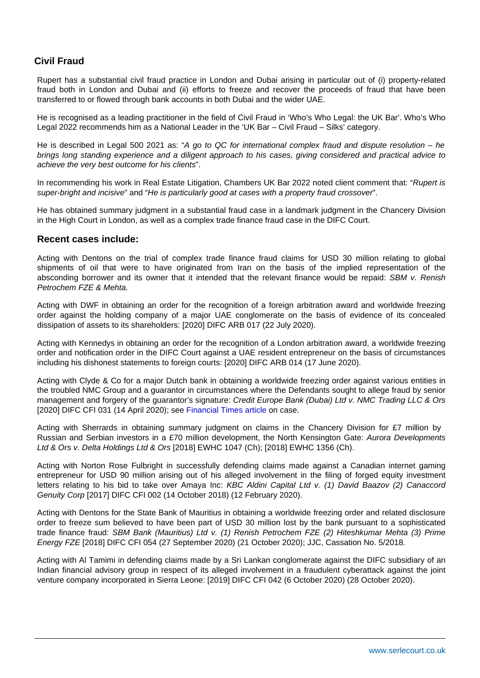#### Civil Fraud

Rupert has a substantial civil fraud practice in London and Dubai arising in particular out of (i) property-related fraud both in London and Dubai and (ii) efforts to freeze and recover the proceeds of fraud that have been transferred to or flowed through bank accounts in both Dubai and the wider UAE.

He is recognised as a leading practitioner in the field of Civil Fraud in 'Who's Who Legal: the UK Bar'. Who's Who Legal 2022 recommends him as a National Leader in the 'UK Bar – Civil Fraud – Silks' category.

He is described in Legal 500 2021 as: "A go to QC for international complex fraud and dispute resolution – he brings long standing experience and a diligent approach to his cases, giving considered and practical advice to achieve the very best outcome for his clients".

In recommending his work in Real Estate Litigation, Chambers UK Bar 2022 noted client comment that: "Rupert is super-bright and incisive" and "He is particularly good at cases with a property fraud crossover".

He has obtained summary judgment in a substantial fraud case in a landmark judgment in the Chancery Division in the High Court in London, as well as a complex trade finance fraud case in the DIFC Court.

#### Recent cases include:

Acting with Dentons on the trial of complex trade finance fraud claims for USD 30 million relating to global shipments of oil that were to have originated from Iran on the basis of the implied representation of the absconding borrower and its owner that it intended that the relevant finance would be repaid: SBM v. Renish Petrochem FZE & Mehta.

Acting with DWF in obtaining an order for the recognition of a foreign arbitration award and worldwide freezing order against the holding company of a major UAE conglomerate on the basis of evidence of its concealed dissipation of assets to its shareholders: [2020] DIFC ARB 017 (22 July 2020).

Acting with Kennedys in obtaining an order for the recognition of a London arbitration award, a worldwide freezing order and notification order in the DIFC Court against a UAE resident entrepreneur on the basis of circumstances including his dishonest statements to foreign courts: [2020] DIFC ARB 014 (17 June 2020).

Acting with Clyde & Co for a major Dutch bank in obtaining a worldwide freezing order against various entities in the troubled NMC Group and a guarantor in circumstances where the Defendants sought to allege fraud by senior management and forgery of the guarantor's signature: Credit Europe Bank (Dubai) Ltd v. NMC Trading LLC & Ors [2020] DIFC CFI 031 (14 April 2020); see [Financial Times article](�� h t t p : / / w w w . f t . c o m / c o n t e n t / 1 3 3 3 5 9 b 8 - 9 c 0 1 - 4 0 8 c - 8 e a 1 - 6 a 1 a 1 5 7 7 e d 3 9) on case.

Acting with Sherrards in obtaining summary judgment on claims in the Chancery Division for £7 million by Russian and Serbian investors in a £70 million development, the North Kensington Gate: Aurora Developments Ltd & Ors v. Delta Holdings Ltd & Ors [2018] EWHC 1047 (Ch); [2018] EWHC 1356 (Ch).

Acting with Norton Rose Fulbright in successfully defending claims made against a Canadian internet gaming entrepreneur for USD 90 million arising out of his alleged involvement in the filing of forged equity investment letters relating to his bid to take over Amaya Inc: KBC Aldini Capital Ltd v. (1) David Baazov (2) Canaccord Genuity Corp [2017] DIFC CFI 002 (14 October 2018) (12 February 2020).

Acting with Dentons for the State Bank of Mauritius in obtaining a worldwide freezing order and related disclosure order to freeze sum believed to have been part of USD 30 million lost by the bank pursuant to a sophisticated trade finance fraud: SBM Bank (Mauritius) Ltd v. (1) Renish Petrochem FZE (2) Hiteshkumar Mehta (3) Prime Energy FZE [2018] DIFC CFI 054 (27 September 2020) (21 October 2020); JJC, Cassation No. 5/2018.

Acting with Al Tamimi in defending claims made by a Sri Lankan conglomerate against the DIFC subsidiary of an Indian financial advisory group in respect of its alleged involvement in a fraudulent cyberattack against the joint venture company incorporated in Sierra Leone: [2019] DIFC CFI 042 (6 October 2020) (28 October 2020).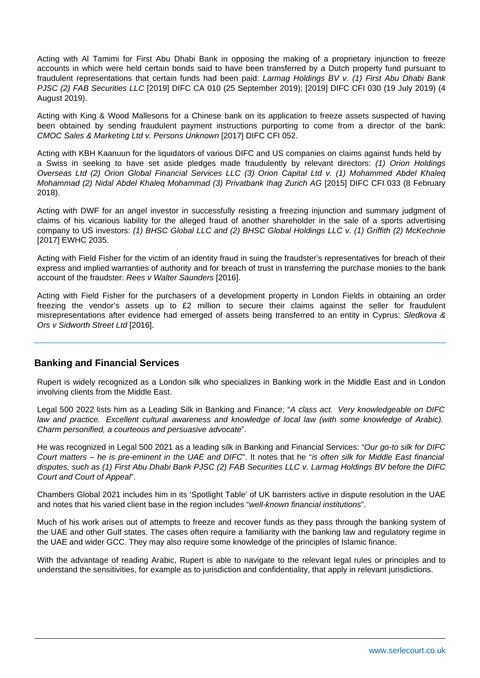Acting with Al Tamimi for First Abu Dhabi Bank in opposing the making of a proprietary injunction to freeze accounts in which were held certain bonds said to have been transferred by a Dutch property fund pursuant to fraudulent representations that certain funds had been paid: Larmag Holdings BV v. (1) First Abu Dhabi Bank PJSC (2) FAB Securities LLC [2019] DIFC CA 010 (25 September 2019); [2019] DIFC CFI 030 (19 July 2019) (4 August 2019).

Acting with King & Wood Mallesons for a Chinese bank on its application to freeze assets suspected of having been obtained by sending fraudulent payment instructions purporting to come from a director of the bank: CMOC Sales & Marketing Ltd v. Persons Unknown [2017] DIFC CFI 052.

Acting with KBH Kaanuun for the liquidators of various DIFC and US companies on claims against funds held by a Swiss in seeking to have set aside pledges made fraudulently by relevant directors: (1) Orion Holdings Overseas Ltd (2) Orion Global Financial Services LLC (3) Orion Capital Ltd v. (1) Mohammed Abdel Khaleq Mohammad (2) Nidal Abdel Khaleq Mohammad (3) Privatbank Ihag Zurich AG [2015] DIFC CFI 033 (8 February 2018).

Acting with DWF for an angel investor in successfully resisting a freezing injunction and summary judgment of claims of his vicarious liability for the alleged fraud of another shareholder in the sale of a sports advertising company to US investors: (1) BHSC Global LLC and (2) BHSC Global Holdings LLC v. (1) Griffith (2) McKechnie [2017] EWHC 2035.

Acting with Field Fisher for the victim of an identity fraud in suing the fraudster's representatives for breach of their express and implied warranties of authority and for breach of trust in transferring the purchase monies to the bank account of the fraudster: Rees v Walter Saunders [2016].

Acting with Field Fisher for the purchasers of a development property in London Fields in obtaining an order freezing the vendor's assets up to £2 million to secure their claims against the seller for fraudulent misrepresentations after evidence had emerged of assets being transferred to an entity in Cyprus: Sledkova & Ors v Sidworth Street Ltd [2016].

#### **Banking and Financial Services**

Rupert is widely recognized as a London silk who specializes in Banking work in the Middle East and in London involving clients from the Middle East.

Legal 500 2022 lists him as a Leading Silk in Banking and Finance; "A class act. Very knowledgeable on DIFC law and practice. Excellent cultural awareness and knowledge of local law (with some knowledge of Arabic). Charm personified, a courteous and persuasive advocate".

He was recognized in Legal 500 2021 as a leading silk in Banking and Financial Services: "Our go-to silk for DIFC Court matters – he is pre-eminent in the UAE and DIFC". It notes that he "is often silk for Middle East financial disputes, such as (1) First Abu Dhabi Bank PJSC (2) FAB Securities LLC v. Larmag Holdings BV before the DIFC Court and Court of Appeal".

Chambers Global 2021 includes him in its 'Spotlight Table' of UK barristers active in dispute resolution in the UAE and notes that his varied client base in the region includes "well-known financial institutions".

Much of his work arises out of attempts to freeze and recover funds as they pass through the banking system of the UAE and other Gulf states. The cases often require a familiarity with the banking law and regulatory regime in the UAE and wider GCC. They may also require some knowledge of the principles of Islamic finance.

With the advantage of reading Arabic, Rupert is able to navigate to the relevant legal rules or principles and to understand the sensitivities, for example as to jurisdiction and confidentiality, that apply in relevant jurisdictions.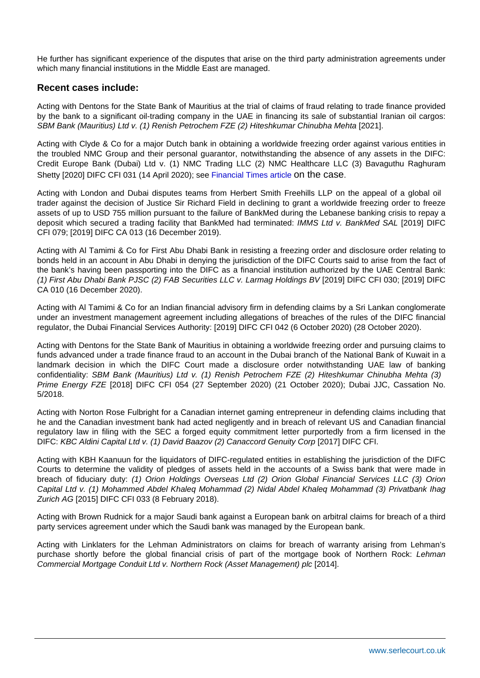He further has significant experience of the disputes that arise on the third party administration agreements under which many financial institutions in the Middle East are managed.

Recent cases include:

Acting with Dentons for the State Bank of Mauritius at the trial of claims of fraud relating to trade finance provided by the bank to a significant oil-trading company in the UAE in financing its sale of substantial Iranian oil cargos: SBM Bank (Mauritius) Ltd v. (1) Renish Petrochem FZE (2) Hiteshkumar Chinubha Mehta [2021].

Acting with Clyde & Co for a major Dutch bank in obtaining a worldwide freezing order against various entities in the troubled NMC Group and their personal guarantor, notwithstanding the absence of any assets in the DIFC: Credit Europe Bank (Dubai) Ltd v. (1) NMC Trading LLC (2) NMC Healthcare LLC (3) Bavaguthu Raghuram Shetty [2020] DIFC CFI 031 (14 April 2020); see [Financial Times article](�� h t t p s : / / w w w . f t . c o m / c o n t e n t / 1 3 3 3 5 9 b 8 - 9 c 0 1 - 4 0 8 c - 8 e a 1 - 6 a 1 a 1 5 7 7 e d 3 9) on the case.

Acting with London and Dubai disputes teams from Herbert Smith Freehills LLP on the appeal of a global oil trader against the decision of Justice Sir Richard Field in declining to grant a worldwide freezing order to freeze assets of up to USD 755 million pursuant to the failure of BankMed during the Lebanese banking crisis to repay a deposit which secured a trading facility that BankMed had terminated: IMMS Ltd v. BankMed SAL [2019] DIFC CFI 079; [2019] DIFC CA 013 (16 December 2019).

Acting with Al Tamimi & Co for First Abu Dhabi Bank in resisting a freezing order and disclosure order relating to bonds held in an account in Abu Dhabi in denying the jurisdiction of the DIFC Courts said to arise from the fact of the bank's having been passporting into the DIFC as a financial institution authorized by the UAE Central Bank: (1) First Abu Dhabi Bank PJSC (2) FAB Securities LLC v. Larmag Holdings BV [2019] DIFC CFI 030; [2019] DIFC CA 010 (16 December 2020).

Acting with Al Tamimi & Co for an Indian financial advisory firm in defending claims by a Sri Lankan conglomerate under an investment management agreement including allegations of breaches of the rules of the DIFC financial regulator, the Dubai Financial Services Authority: [2019] DIFC CFI 042 (6 October 2020) (28 October 2020).

Acting with Dentons for the State Bank of Mauritius in obtaining a worldwide freezing order and pursuing claims to funds advanced under a trade finance fraud to an account in the Dubai branch of the National Bank of Kuwait in a landmark decision in which the DIFC Court made a disclosure order notwithstanding UAE law of banking confidentiality: SBM Bank (Mauritius) Ltd v. (1) Renish Petrochem FZE (2) Hiteshkumar Chinubha Mehta (3) Prime Energy FZE [2018] DIFC CFI 054 (27 September 2020) (21 October 2020); Dubai JJC, Cassation No. 5/2018.

Acting with Norton Rose Fulbright for a Canadian internet gaming entrepreneur in defending claims including that he and the Canadian investment bank had acted negligently and in breach of relevant US and Canadian financial regulatory law in filing with the SEC a forged equity commitment letter purportedly from a firm licensed in the DIFC: KBC Aldini Capital Ltd v. (1) David Baazov (2) Canaccord Genuity Corp [2017] DIFC CFI.

Acting with KBH Kaanuun for the liquidators of DIFC-regulated entities in establishing the jurisdiction of the DIFC Courts to determine the validity of pledges of assets held in the accounts of a Swiss bank that were made in breach of fiduciary duty: (1) Orion Holdings Overseas Ltd (2) Orion Global Financial Services LLC (3) Orion Capital Ltd v. (1) Mohammed Abdel Khaleq Mohammad (2) Nidal Abdel Khaleq Mohammad (3) Privatbank Ihag Zurich AG [2015] DIFC CFI 033 (8 February 2018).

Acting with Brown Rudnick for a major Saudi bank against a European bank on arbitral claims for breach of a third party services agreement under which the Saudi bank was managed by the European bank.

Acting with Linklaters for the Lehman Administrators on claims for breach of warranty arising from Lehman's purchase shortly before the global financial crisis of part of the mortgage book of Northern Rock: Lehman Commercial Mortgage Conduit Ltd v. Northern Rock (Asset Management) plc [2014].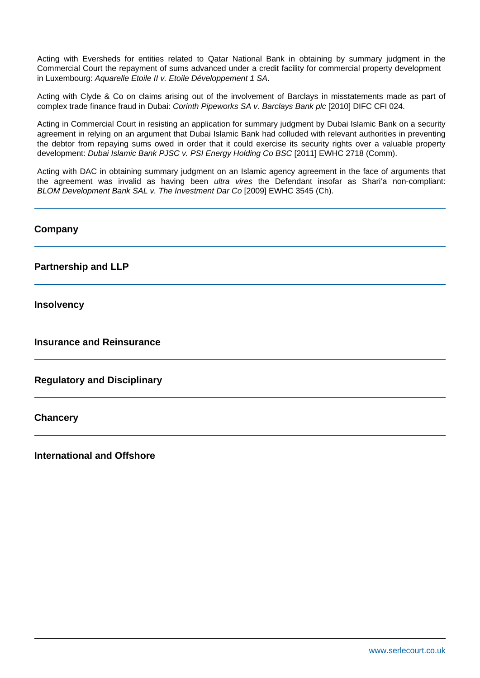Acting with Eversheds for entities related to Qatar National Bank in obtaining by summary judgment in the Commercial Court the repayment of sums advanced under a credit facility for commercial property development in Luxembourg: Aquarelle Etoile II v. Etoile Développement 1 SA.

Acting with Clyde & Co on claims arising out of the involvement of Barclays in misstatements made as part of complex trade finance fraud in Dubai: Corinth Pipeworks SA v. Barclays Bank plc [2010] DIFC CFI 024.

Acting in Commercial Court in resisting an application for summary judgment by Dubai Islamic Bank on a security agreement in relying on an argument that Dubai Islamic Bank had colluded with relevant authorities in preventing the debtor from repaying sums owed in order that it could exercise its security rights over a valuable property development: Dubai Islamic Bank PJSC v. PSI Energy Holding Co BSC [2011] EWHC 2718 (Comm).

Acting with DAC in obtaining summary judgment on an Islamic agency agreement in the face of arguments that the agreement was invalid as having been *ultra vires* the Defendant insofar as Shari'a non-compliant: BLOM Development Bank SAL v. The Investment Dar Co [2009] EWHC 3545 (Ch).

# **Company Partnership and LLP Insolvency Insurance and Reinsurance Regulatory and Disciplinary Chancery**

## **International and Offshore**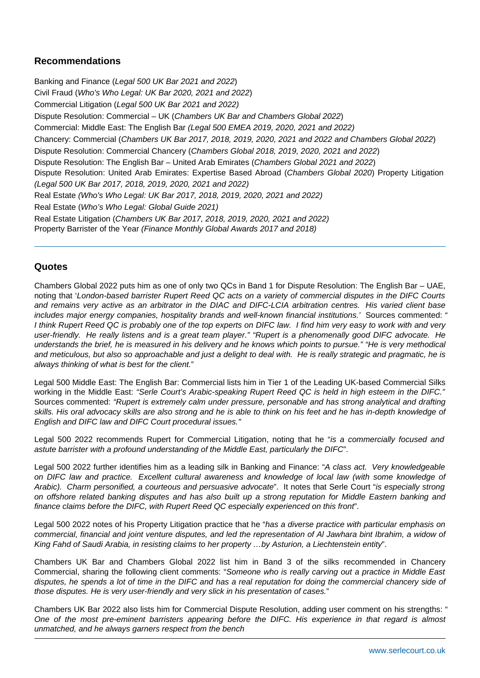#### **Recommendations**

Banking and Finance (Legal 500 UK Bar 2021 and 2022) Civil Fraud (Who's Who Legal: UK Bar 2020, 2021 and 2022) Commercial Litigation (Legal 500 UK Bar 2021 and 2022) Dispute Resolution: Commercial – UK (Chambers UK Bar and Chambers Global 2022) Commercial: Middle East: The English Bar (Legal 500 EMEA 2019, 2020, 2021 and 2022) Chancery: Commercial (Chambers UK Bar 2017, 2018, 2019, 2020, 2021 and 2022 and Chambers Global 2022) Dispute Resolution: Commercial Chancery (Chambers Global 2018, 2019, 2020, 2021 and 2022) Dispute Resolution: The English Bar – United Arab Emirates (Chambers Global 2021 and 2022) Dispute Resolution: United Arab Emirates: Expertise Based Abroad (Chambers Global 2020) Property Litigation (Legal 500 UK Bar 2017, 2018, 2019, 2020, 2021 and 2022) Real Estate (Who's Who Legal: UK Bar 2017, 2018, 2019, 2020, 2021 and 2022) Real Estate (Who's Who Legal: Global Guide 2021) Real Estate Litigation (Chambers UK Bar 2017, 2018, 2019, 2020, 2021 and 2022) Property Barrister of the Year (Finance Monthly Global Awards 2017 and 2018)

#### **Quotes**

Chambers Global 2022 puts him as one of only two QCs in Band 1 for Dispute Resolution: The English Bar – UAE, noting that 'London-based barrister Rupert Reed QC acts on a variety of commercial disputes in the DIFC Courts and remains very active as an arbitrator in the DIAC and DIFC-LCIA arbitration centres. His varied client base includes major energy companies, hospitality brands and well-known financial institutions.' Sources commented: " I think Rupert Reed QC is probably one of the top experts on DIFC law. I find him very easy to work with and very user-friendly. He really listens and is a great team player." "Rupert is a phenomenally good DIFC advocate. He understands the brief, he is measured in his delivery and he knows which points to pursue." "He is very methodical and meticulous, but also so approachable and just a delight to deal with. He is really strategic and pragmatic, he is always thinking of what is best for the client."

Legal 500 Middle East: The English Bar: Commercial lists him in Tier 1 of the Leading UK-based Commercial Silks working in the Middle East: "Serle Court's Arabic-speaking Rupert Reed QC is held in high esteem in the DIFC." Sources commented: "Rupert is extremely calm under pressure, personable and has strong analytical and drafting skills. His oral advocacy skills are also strong and he is able to think on his feet and he has in-depth knowledge of English and DIFC law and DIFC Court procedural issues."

Legal 500 2022 recommends Rupert for Commercial Litigation, noting that he "is a commercially focused and astute barrister with a profound understanding of the Middle East, particularly the DIFC".

Legal 500 2022 further identifies him as a leading silk in Banking and Finance: "A class act. Very knowledgeable on DIFC law and practice. Excellent cultural awareness and knowledge of local law (with some knowledge of Arabic). Charm personified, a courteous and persuasive advocate". It notes that Serle Court "is especially strong on offshore related banking disputes and has also built up a strong reputation for Middle Eastern banking and finance claims before the DIFC, with Rupert Reed QC especially experienced on this front".

Legal 500 2022 notes of his Property Litigation practice that he "has a diverse practice with particular emphasis on commercial, financial and joint venture disputes, and led the representation of Al Jawhara bint Ibrahim, a widow of King Fahd of Saudi Arabia, in resisting claims to her property …by Asturion, a Liechtenstein entity".

Chambers UK Bar and Chambers Global 2022 list him in Band 3 of the silks recommended in Chancery Commercial, sharing the following client comments: "Someone who is really carving out a practice in Middle East disputes, he spends a lot of time in the DIFC and has a real reputation for doing the commercial chancery side of those disputes. He is very user-friendly and very slick in his presentation of cases."

Chambers UK Bar 2022 also lists him for Commercial Dispute Resolution, adding user comment on his strengths: " One of the most pre-eminent barristers appearing before the DIFC. His experience in that regard is almost unmatched, and he always garners respect from the bench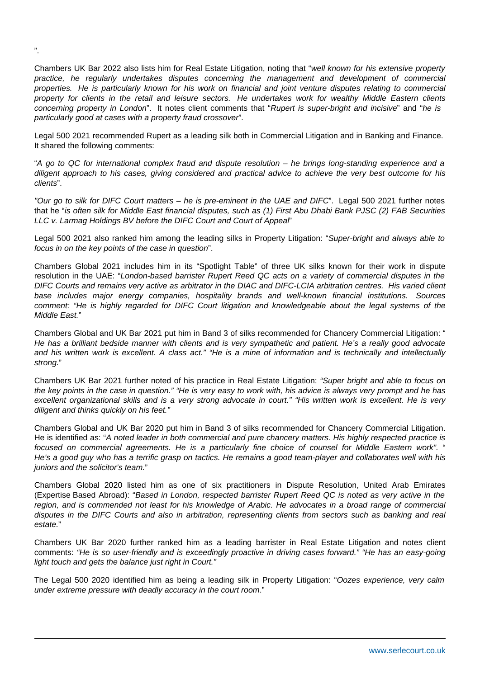Chambers UK Bar 2022 also lists him for Real Estate Litigation, noting that "well known for his extensive property practice, he regularly undertakes disputes concerning the management and development of commercial properties. He is particularly known for his work on financial and joint venture disputes relating to commercial property for clients in the retail and leisure sectors. He undertakes work for wealthy Middle Eastern clients concerning property in London". It notes client comments that "Rupert is super-bright and incisive" and "he is particularly good at cases with a property fraud crossover".

Legal 500 2021 recommended Rupert as a leading silk both in Commercial Litigation and in Banking and Finance. It shared the following comments:

"A go to QC for international complex fraud and dispute resolution – he brings long-standing experience and a diligent approach to his cases, giving considered and practical advice to achieve the very best outcome for his clients".

"Our go to silk for DIFC Court matters – he is pre-eminent in the UAE and DIFC". Legal 500 2021 further notes that he "is often silk for Middle East financial disputes, such as (1) First Abu Dhabi Bank PJSC (2) FAB Securities LLC v. Larmag Holdings BV before the DIFC Court and Court of Appeal"

Legal 500 2021 also ranked him among the leading silks in Property Litigation: "Super-bright and always able to focus in on the key points of the case in question".

Chambers Global 2021 includes him in its "Spotlight Table" of three UK silks known for their work in dispute resolution in the UAE: "London-based barrister Rupert Reed QC acts on a variety of commercial disputes in the DIFC Courts and remains very active as arbitrator in the DIAC and DIFC-LCIA arbitration centres. His varied client base includes major energy companies, hospitality brands and well-known financial institutions. Sources comment: "He is highly regarded for DIFC Court litigation and knowledgeable about the legal systems of the Middle East."

Chambers Global and UK Bar 2021 put him in Band 3 of silks recommended for Chancery Commercial Litigation: " He has a brilliant bedside manner with clients and is very sympathetic and patient. He's a really good advocate and his written work is excellent. A class act." "He is a mine of information and is technically and intellectually strong."

Chambers UK Bar 2021 further noted of his practice in Real Estate Litigation: "Super bright and able to focus on the key points in the case in question." "He is very easy to work with, his advice is always very prompt and he has excellent organizational skills and is a very strong advocate in court." "His written work is excellent. He is very diligent and thinks quickly on his feet."

Chambers Global and UK Bar 2020 put him in Band 3 of silks recommended for Chancery Commercial Litigation. He is identified as: "A noted leader in both commercial and pure chancery matters. His highly respected practice is focused on commercial agreements. He is a particularly fine choice of counsel for Middle Eastern work". " He's a good guy who has a terrific grasp on tactics. He remains a good team-player and collaborates well with his juniors and the solicitor's team."

Chambers Global 2020 listed him as one of six practitioners in Dispute Resolution, United Arab Emirates (Expertise Based Abroad): "Based in London, respected barrister Rupert Reed QC is noted as very active in the region, and is commended not least for his knowledge of Arabic. He advocates in a broad range of commercial disputes in the DIFC Courts and also in arbitration, representing clients from sectors such as banking and real estate."

Chambers UK Bar 2020 further ranked him as a leading barrister in Real Estate Litigation and notes client comments: "He is so user-friendly and is exceedingly proactive in driving cases forward." "He has an easy-going light touch and gets the balance just right in Court."

The Legal 500 2020 identified him as being a leading silk in Property Litigation: "Oozes experience, very calm under extreme pressure with deadly accuracy in the court room."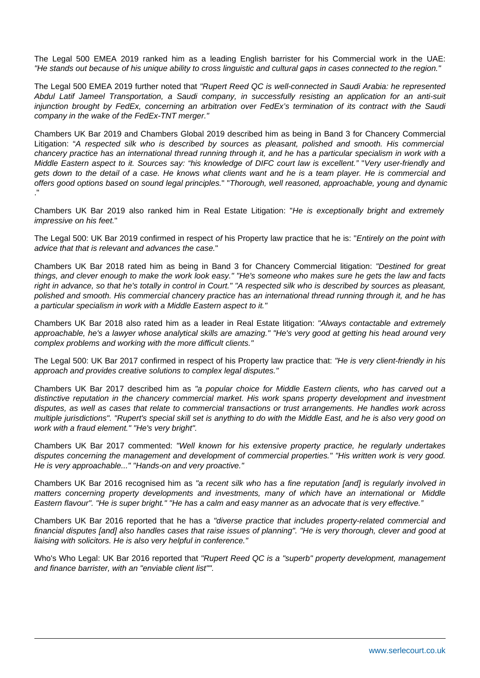The Legal 500 EMEA 2019 ranked him as a leading English barrister for his Commercial work in the UAE: "He stands out because of his unique ability to cross linguistic and cultural gaps in cases connected to the region."

The Legal 500 EMEA 2019 further noted that "Rupert Reed QC is well-connected in Saudi Arabia: he represented Abdul Latif Jameel Transportation, a Saudi company, in successfully resisting an application for an anti-suit injunction brought by FedEx, concerning an arbitration over FedEx's termination of its contract with the Saudi company in the wake of the FedEx-TNT merger."

Chambers UK Bar 2019 and Chambers Global 2019 described him as being in Band 3 for Chancery Commercial Litigation: "A respected silk who is described by sources as pleasant, polished and smooth. His commercial chancery practice has an international thread running through it, and he has a particular specialism in work with a Middle Eastern aspect to it. Sources say: "his knowledge of DIFC court law is excellent." "Very user-friendly and gets down to the detail of a case. He knows what clients want and he is a team player. He is commercial and offers good options based on sound legal principles." "Thorough, well reasoned, approachable, young and dynamic ."

Chambers UK Bar 2019 also ranked him in Real Estate Litigation: "He is exceptionally bright and extremely impressive on his feet."

The Legal 500: UK Bar 2019 confirmed in respect of his Property law practice that he is: "Entirely on the point with advice that that is relevant and advances the case."

Chambers UK Bar 2018 rated him as being in Band 3 for Chancery Commercial litigation: "Destined for great things, and clever enough to make the work look easy." "He's someone who makes sure he gets the law and facts right in advance, so that he's totally in control in Court." "A respected silk who is described by sources as pleasant, polished and smooth. His commercial chancery practice has an international thread running through it, and he has a particular specialism in work with a Middle Eastern aspect to it."

Chambers UK Bar 2018 also rated him as a leader in Real Estate litigation: "Always contactable and extremely approachable, he's a lawyer whose analytical skills are amazing." "He's very good at getting his head around very complex problems and working with the more difficult clients."

The Legal 500: UK Bar 2017 confirmed in respect of his Property law practice that: "He is very client-friendly in his approach and provides creative solutions to complex legal disputes."

Chambers UK Bar 2017 described him as "a popular choice for Middle Eastern clients, who has carved out a distinctive reputation in the chancery commercial market. His work spans property development and investment disputes, as well as cases that relate to commercial transactions or trust arrangements. He handles work across multiple jurisdictions". "Rupert's special skill set is anything to do with the Middle East, and he is also very good on work with a fraud element." "He's very bright".

Chambers UK Bar 2017 commented: "Well known for his extensive property practice, he regularly undertakes disputes concerning the management and development of commercial properties." "His written work is very good. He is very approachable..." "Hands-on and very proactive."

Chambers UK Bar 2016 recognised him as "a recent silk who has a fine reputation [and] is regularly involved in matters concerning property developments and investments, many of which have an international or Middle Eastern flavour". "He is super bright." "He has a calm and easy manner as an advocate that is very effective."

Chambers UK Bar 2016 reported that he has a "diverse practice that includes property-related commercial and financial disputes [and] also handles cases that raise issues of planning". "He is very thorough, clever and good at liaising with solicitors. He is also very helpful in conference."

Who's Who Legal: UK Bar 2016 reported that "Rupert Reed QC is a "superb" property development, management and finance barrister, with an "enviable client list"".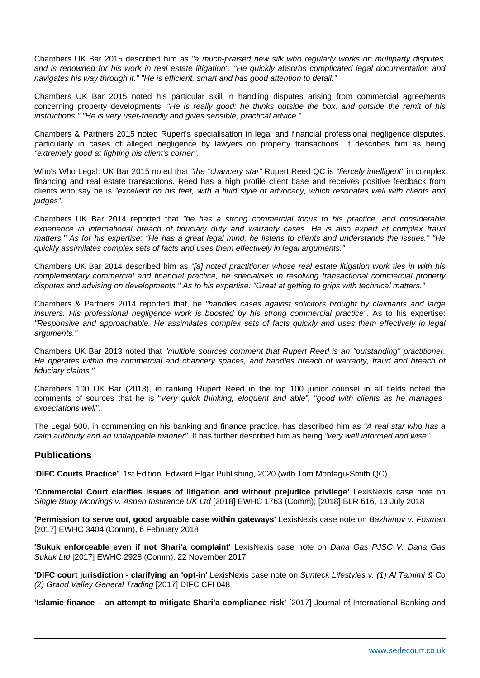Chambers UK Bar 2015 described him as "a much-praised new silk who regularly works on multiparty disputes, and is renowned for his work in real estate litigation". "He quickly absorbs complicated legal documentation and navigates his way through it." "He is efficient, smart and has good attention to detail."

Chambers UK Bar 2015 noted his particular skill in handling disputes arising from commercial agreements concerning property developments. "He is really good: he thinks outside the box, and outside the remit of his instructions." "He is very user-friendly and gives sensible, practical advice."

Chambers & Partners 2015 noted Rupert's specialisation in legal and financial professional negligence disputes, particularly in cases of alleged negligence by lawyers on property transactions. It describes him as being "extremely good at fighting his client's corner".

Who's Who Legal: UK Bar 2015 noted that "the "chancery star" Rupert Reed QC is "fiercely intelligent" in complex financing and real estate transactions. Reed has a high profile client base and receives positive feedback from clients who say he is "excellent on his feet, with a fluid style of advocacy, which resonates well with clients and judges".

Chambers UK Bar 2014 reported that "he has a strong commercial focus to his practice, and considerable experience in international breach of fiduciary duty and warranty cases. He is also expert at complex fraud matters." As for his expertise: "He has a great legal mind; he listens to clients and understands the issues." "He quickly assimilates complex sets of facts and uses them effectively in legal arguments."

Chambers UK Bar 2014 described him as "[a] noted practitioner whose real estate litigation work ties in with his complementary commercial and financial practice, he specialises in resolving transactional commercial property disputes and advising on developments." As to his expertise: "Great at getting to grips with technical matters."

Chambers & Partners 2014 reported that, he "handles cases against solicitors brought by claimants and large insurers. His professional negligence work is boosted by his strong commercial practice". As to his expertise: "Responsive and approachable. He assimilates complex sets of facts quickly and uses them effectively in legal arguments."

Chambers UK Bar 2013 noted that "multiple sources comment that Rupert Reed is an "outstanding" practitioner. He operates within the commercial and chancery spaces, and handles breach of warranty, fraud and breach of fiduciary claims."

Chambers 100 UK Bar (2013), in ranking Rupert Reed in the top 100 junior counsel in all fields noted the comments of sources that he is "Very quick thinking, eloquent and able", "good with clients as he manages expectations well".

The Legal 500, in commenting on his banking and finance practice, has described him as "A real star who has a calm authority and an unflappable manner". It has further described him as being "very well informed and wise".

#### **Publications**

'**DIFC Courts Practice'**, 1st Edition, Edward Elgar Publishing, 2020 (with Tom Montagu-Smith QC)

**'Commercial Court clarifies issues of litigation and without prejudice privilege'** LexisNexis case note on Single Buoy Moorings v. Aspen Insurance UK Ltd [2018] EWHC 1763 (Comm); [2018] BLR 616, 13 July 2018

**'Permission to serve out, good arguable case within gateways'** LexisNexis case note on Bazhanov v. Fosman [2017] EWHC 3404 (Comm), 6 February 2018

**'Sukuk enforceable even if not Shari'a complaint'** LexisNexis case note on Dana Gas PJSC V. Dana Gas Sukuk Ltd [2017] EWHC 2928 (Comm), 22 November 2017

**'DIFC court jurisdiction - clarifying an 'opt-in'** LexisNexis case note on Sunteck Lifestyles v. (1) Al Tamimi & Co (2) Grand Valley General Trading [2017] DIFC CFI 048

**'Islamic finance – an attempt to mitigate Shari'a compliance risk'** [2017] Journal of International Banking and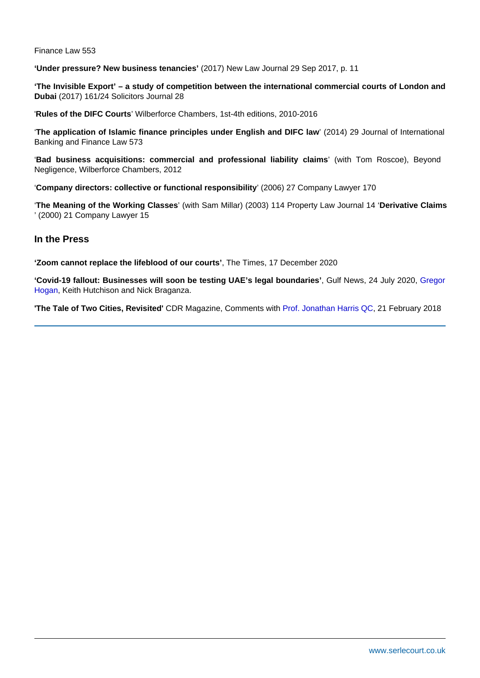Finance Law 553

'Under pressure? New business tenancies' (2017) New Law Journal 29 Sep 2017, p. 11

'The Invisible Export' – a study of competition between the international commercial courts of London and Dubai (2017) 161/24 Solicitors Journal 28

'Rules of the DIFC Courts ' Wilberforce Chambers, 1st-4th editions, 2010-2016

'The application of Islamic finance principles under English and DIFC law ' (2014) 29 Journal of International Banking and Finance Law 573

'Bad business acquisitions: commercial and professional liability claims ' (with Tom Roscoe), Beyond Negligence, Wilberforce Chambers, 2012

'Company directors: collective or functional responsibility ' (2006) 27 Company Lawyer 170

'The Meaning of the Working Classes ' (with Sam Millar) (2003) 114 Property Law Journal 14 'Derivative Claims ' (2000) 21 Company Lawyer 15

In the Press

'Zoom cannot replace the lifeblood of our courts', The Times, 17 December 2020

'Covid-19 fallout: Businesses will soon be testing UAE's legal boundaries', Gulf News, 24 July 2020, Gregor [Hogan,](�� h t t p s : / / w w w . s e r l e c o u r t . c o . u k / o u r - p e o p l e / p r o f i l e / g r e g o r - h o g a n) Keith Hutchison and Nick Braganza.

'The Tale of Two Cities, Revisited' CDR Magazine, Comments with [Prof. Jonathan Harris QC,](�� h t t p : / / w w w . s e r l e c o u r t . c o . u k / o u r - p e o p l e / p r o f i l e / p r o f e s s o r - j o n a t h a n - h a r r i s - q c) 21 February 2018